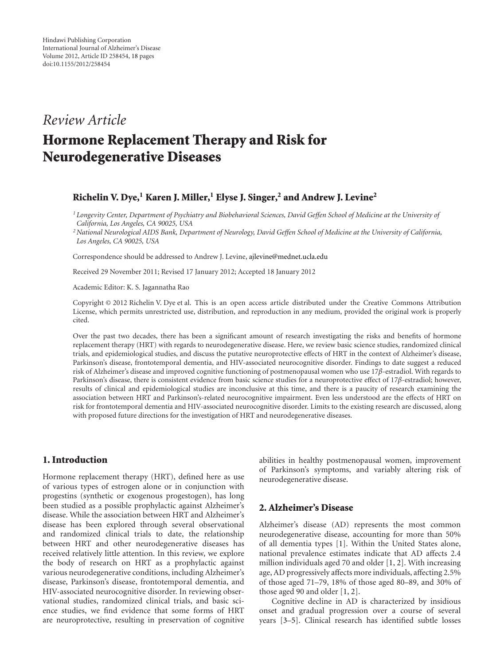# *Review Article*

# **Hormone Replacement Therapy and Risk for Neurodegenerative Diseases**

## **Richelin V. Dye,1 Karen J. Miller,1 Elyse J. Singer,2 and Andrew J. Levine2**

*<sup>1</sup> Longevity Center, Department of Psychiatry and Biobehavioral Sciences, David Geffen School of Medicine at the University of California, Los Angeles, CA 90025, USA*

*2National Neurological AIDS Bank, Department of Neurology, David Geffen School of Medicine at the University of California, Los Angeles, CA 90025, USA*

Correspondence should be addressed to Andrew J. Levine, [ajlevine@mednet.ucla.edu](mailto:ajlevine@mednet.ucla.edu)

Received 29 November 2011; Revised 17 January 2012; Accepted 18 January 2012

Academic Editor: K. S. Jagannatha Rao

Copyright © 2012 Richelin V. Dye et al. This is an open access article distributed under the Creative Commons Attribution License, which permits unrestricted use, distribution, and reproduction in any medium, provided the original work is properly cited.

Over the past two decades, there has been a significant amount of research investigating the risks and benefits of hormone replacement therapy (HRT) with regards to neurodegenerative disease. Here, we review basic science studies, randomized clinical trials, and epidemiological studies, and discuss the putative neuroprotective effects of HRT in the context of Alzheimer's disease, Parkinson's disease, frontotemporal dementia, and HIV-associated neurocognitive disorder. Findings to date suggest a reduced risk of Alzheimer's disease and improved cognitive functioning of postmenopausal women who use 17*β*-estradiol. With regards to Parkinson's disease, there is consistent evidence from basic science studies for a neuroprotective effect of 17*β*-estradiol; however, results of clinical and epidemiological studies are inconclusive at this time, and there is a paucity of research examining the association between HRT and Parkinson's-related neurocognitive impairment. Even less understood are the effects of HRT on risk for frontotemporal dementia and HIV-associated neurocognitive disorder. Limits to the existing research are discussed, along with proposed future directions for the investigation of HRT and neurodegenerative diseases.

#### **1. Introduction**

Hormone replacement therapy (HRT), defined here as use of various types of estrogen alone or in conjunction with progestins (synthetic or exogenous progestogen), has long been studied as a possible prophylactic against Alzheimer's disease. While the association between HRT and Alzheimer's disease has been explored through several observational and randomized clinical trials to date, the relationship between HRT and other neurodegenerative diseases has received relatively little attention. In this review, we explore the body of research on HRT as a prophylactic against various neurodegenerative conditions, including Alzheimer's disease, Parkinson's disease, frontotemporal dementia, and HIV-associated neurocognitive disorder. In reviewing observational studies, randomized clinical trials, and basic science studies, we find evidence that some forms of HRT are neuroprotective, resulting in preservation of cognitive

abilities in healthy postmenopausal women, improvement of Parkinson's symptoms, and variably altering risk of neurodegenerative disease.

#### **2. Alzheimer's Disease**

Alzheimer's disease (AD) represents the most common neurodegenerative disease, accounting for more than 50% of all dementia types [\[1](#page-11-1)]. Within the United States alone, national prevalence estimates indicate that AD affects 2.4 million individuals aged 70 and older [\[1](#page-11-1), [2\]](#page-11-2). With increasing age, AD progressively affects more individuals, affecting 2.5% of those aged 71–79, 18% of those aged 80–89, and 30% of those aged 90 and older [\[1](#page-11-1), [2\]](#page-11-2).

Cognitive decline in AD is characterized by insidious onset and gradual progression over a course of several years [\[3](#page-11-3)[–5\]](#page-12-0). Clinical research has identified subtle losses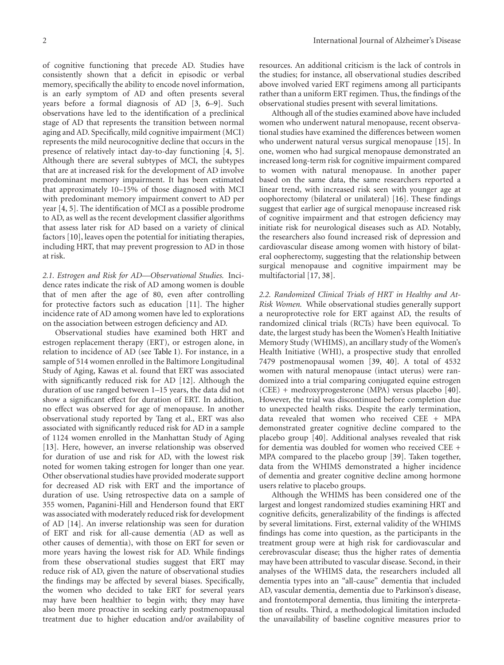of cognitive functioning that precede AD. Studies have consistently shown that a deficit in episodic or verbal memory, specifically the ability to encode novel information, is an early symptom of AD and often presents several years before a formal diagnosis of AD [\[3](#page-11-3), [6](#page-12-1)[–9](#page-12-2)]. Such observations have led to the identification of a preclinical stage of AD that represents the transition between normal aging and AD. Specifically, mild cognitive impairment (MCI) represents the mild neurocognitive decline that occurs in the presence of relatively intact day-to-day functioning [\[4,](#page-12-3) [5\]](#page-12-0). Although there are several subtypes of MCI, the subtypes that are at increased risk for the development of AD involve predominant memory impairment. It has been estimated that approximately 10–15% of those diagnosed with MCI with predominant memory impairment convert to AD per year [\[4,](#page-12-3) [5](#page-12-0)]. The identification of MCI as a possible prodrome to AD, as well as the recent development classifier algorithms that assess later risk for AD based on a variety of clinical factors [\[10\]](#page-12-4), leaves open the potential for initiating therapies, including HRT, that may prevent progression to AD in those at risk.

*2.1. Estrogen and Risk for AD—Observational Studies.* Incidence rates indicate the risk of AD among women is double that of men after the age of 80, even after controlling for protective factors such as education [\[11\]](#page-12-5). The higher incidence rate of AD among women have led to explorations on the association between estrogen deficiency and AD.

Observational studies have examined both HRT and estrogen replacement therapy (ERT), or estrogen alone, in relation to incidence of AD (see [Table 1\)](#page-2-0). For instance, in a sample of 514 women enrolled in the Baltimore Longitudinal Study of Aging, Kawas et al. found that ERT was associated with significantly reduced risk for AD [\[12](#page-12-6)]. Although the duration of use ranged between 1–15 years, the data did not show a significant effect for duration of ERT. In addition, no effect was observed for age of menopause. In another observational study reported by Tang et al., ERT was also associated with significantly reduced risk for AD in a sample of 1124 women enrolled in the Manhattan Study of Aging [\[13\]](#page-12-7). Here, however, an inverse relationship was observed for duration of use and risk for AD, with the lowest risk noted for women taking estrogen for longer than one year. Other observational studies have provided moderate support for decreased AD risk with ERT and the importance of duration of use. Using retrospective data on a sample of 355 women, Paganini-Hill and Henderson found that ERT was associated with moderately reduced risk for development of AD [\[14](#page-12-8)]. An inverse relationship was seen for duration of ERT and risk for all-cause dementia (AD as well as other causes of dementia), with those on ERT for seven or more years having the lowest risk for AD. While findings from these observational studies suggest that ERT may reduce risk of AD, given the nature of observational studies the findings may be affected by several biases. Specifically, the women who decided to take ERT for several years may have been healthier to begin with; they may have also been more proactive in seeking early postmenopausal treatment due to higher education and/or availability of

resources. An additional criticism is the lack of controls in the studies; for instance, all observational studies described above involved varied ERT regimens among all participants rather than a uniform ERT regimen. Thus, the findings of the observational studies present with several limitations.

Although all of the studies examined above have included women who underwent natural menopause, recent observational studies have examined the differences between women who underwent natural versus surgical menopause [\[15\]](#page-12-9). In one, women who had surgical menopause demonstrated an increased long-term risk for cognitive impairment compared to women with natural menopause. In another paper based on the same data, the same researchers reported a linear trend, with increased risk seen with younger age at oophorectomy (bilateral or unilateral) [\[16](#page-12-10)]. These findings suggest that earlier age of surgical menopause increased risk of cognitive impairment and that estrogen deficiency may initiate risk for neurological diseases such as AD. Notably, the researchers also found increased risk of depression and cardiovascular disease among women with history of bilateral oopherectomy, suggesting that the relationship between surgical menopause and cognitive impairment may be multifactorial [\[17,](#page-12-11) [38](#page-13-0)].

*2.2. Randomized Clinical Trials of HRT in Healthy and At-Risk Women.* While observational studies generally support a neuroprotective role for ERT against AD, the results of randomized clinical trials (RCTs) have been equivocal. To date, the largest study has been the Women's Health Initiative Memory Study (WHIMS), an ancillary study of the Women's Health Initiative (WHI), a prospective study that enrolled 7479 postmenopausal women [\[39](#page-13-1), [40\]](#page-13-2). A total of 4532 women with natural menopause (intact uterus) were randomized into a trial comparing conjugated equine estrogen (CEE) + medroxyprogesterone (MPA) versus placebo [\[40\]](#page-13-2). However, the trial was discontinued before completion due to unexpected health risks. Despite the early termination, data revealed that women who received CEE + MPA demonstrated greater cognitive decline compared to the placebo group [\[40\]](#page-13-2). Additional analyses revealed that risk for dementia was doubled for women who received CEE + MPA compared to the placebo group [\[39](#page-13-1)]. Taken together, data from the WHIMS demonstrated a higher incidence of dementia and greater cognitive decline among hormone users relative to placebo groups.

Although the WHIMS has been considered one of the largest and longest randomized studies examining HRT and cognitive deficits, generalizability of the findings is affected by several limitations. First, external validity of the WHIMS findings has come into question, as the participants in the treatment group were at high risk for cardiovascular and cerebrovascular disease; thus the higher rates of dementia may have been attributed to vascular disease. Second, in their analyses of the WHIMS data, the researchers included all dementia types into an "all-cause" dementia that included AD, vascular dementia, dementia due to Parkinson's disease, and frontotemporal dementia, thus limiting the interpretation of results. Third, a methodological limitation included the unavailability of baseline cognitive measures prior to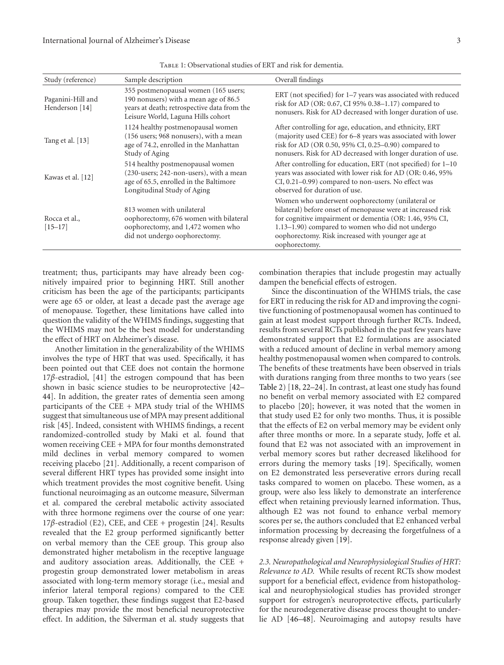| Study (reference)                   | Sample description                                                                                                                                                 | Overall findings                                                                                                                                                                                                                                                                                   |
|-------------------------------------|--------------------------------------------------------------------------------------------------------------------------------------------------------------------|----------------------------------------------------------------------------------------------------------------------------------------------------------------------------------------------------------------------------------------------------------------------------------------------------|
| Paganini-Hill and<br>Henderson [14] | 355 postmenopausal women (165 users;<br>190 nonusers) with a mean age of 86.5<br>years at death; retrospective data from the<br>Leisure World, Laguna Hills cohort | ERT (not specified) for 1-7 years was associated with reduced<br>risk for AD (OR: 0.67, CI 95% 0.38-1.17) compared to<br>nonusers. Risk for AD decreased with longer duration of use.                                                                                                              |
| Tang et al. $[13]$                  | 1124 healthy postmenopausal women<br>(156 users; 968 nonusers), with a mean<br>age of 74.2, enrolled in the Manhattan<br>Study of Aging                            | After controlling for age, education, and ethnicity, ERT<br>(majority used CEE) for 6-8 years was associated with lower<br>risk for AD (OR 0.50, 95% CI, 0.25–0.90) compared to<br>nonusers. Risk for AD decreased with longer duration of use.                                                    |
| Kawas et al. [12]                   | 514 healthy postmenopausal women<br>(230-users; 242-non-users), with a mean<br>age of 65.5, enrolled in the Baltimore<br>Longitudinal Study of Aging               | After controlling for education, ERT (not specified) for 1–10<br>years was associated with lower risk for AD (OR: 0.46, 95%<br>CI, 0.21-0.99) compared to non-users. No effect was<br>observed for duration of use.                                                                                |
| Rocca et al.,<br>$[15 - 17]$        | 813 women with unilateral<br>oophorectomy, 676 women with bilateral<br>oophorectomy, and 1,472 women who<br>did not undergo oophorectomy.                          | Women who underwent oophorectomy (unilateral or<br>bilateral) before onset of menopause were at increased risk<br>for cognitive impairment or dementia (OR: 1.46, 95% CI,<br>1.13–1.90) compared to women who did not undergo<br>oophorectomy. Risk increased with younger age at<br>oophorectomy. |

<span id="page-2-0"></span>TABLE 1: Observational studies of ERT and risk for dementia.

treatment; thus, participants may have already been cognitively impaired prior to beginning HRT. Still another criticism has been the age of the participants; participants were age 65 or older, at least a decade past the average age of menopause. Together, these limitations have called into question the validity of the WHIMS findings, suggesting that the WHIMS may not be the best model for understanding the effect of HRT on Alzheimer's disease.

Another limitation in the generalizability of the WHIMS involves the type of HRT that was used. Specifically, it has been pointed out that CEE does not contain the hormone 17*β*-estradiol, [\[41\]](#page-13-3) the estrogen compound that has been shown in basic science studies to be neuroprotective [\[42–](#page-13-4) [44](#page-13-5)]. In addition, the greater rates of dementia seen among participants of the CEE + MPA study trial of the WHIMS suggest that simultaneous use of MPA may present additional risk [\[45](#page-13-6)]. Indeed, consistent with WHIMS findings, a recent randomized-controlled study by Maki et al. found that women receiving CEE + MPA for four months demonstrated mild declines in verbal memory compared to women receiving placebo [\[21\]](#page-12-12). Additionally, a recent comparison of several different HRT types has provided some insight into which treatment provides the most cognitive benefit. Using functional neuroimaging as an outcome measure, Silverman et al. compared the cerebral metabolic activity associated with three hormone regimens over the course of one year: 17*β*-estradiol (E2), CEE, and CEE + progestin [\[24\]](#page-12-13). Results revealed that the E2 group performed significantly better on verbal memory than the CEE group. This group also demonstrated higher metabolism in the receptive language and auditory association areas. Additionally, the CEE + progestin group demonstrated lower metabolism in areas associated with long-term memory storage (i.e., mesial and inferior lateral temporal regions) compared to the CEE group. Taken together, these findings suggest that E2-based therapies may provide the most beneficial neuroprotective effect. In addition, the Silverman et al. study suggests that

combination therapies that include progestin may actually dampen the beneficial effects of estrogen.

Since the discontinuation of the WHIMS trials, the case for ERT in reducing the risk for AD and improving the cognitive functioning of postmenopausal women has continued to gain at least modest support through further RCTs. Indeed, results from several RCTs published in the past few years have demonstrated support that E2 formulations are associated with a reduced amount of decline in verbal memory among healthy postmenopausal women when compared to controls. The benefits of these treatments have been observed in trials with durations ranging from three months to two years (see [Table 2\)](#page-3-0) [\[18,](#page-12-14) [22](#page-12-15)[–24](#page-12-13)]. In contrast, at least one study has found no benefit on verbal memory associated with E2 compared to placebo [\[20](#page-12-16)]; however, it was noted that the women in that study used E2 for only two months. Thus, it is possible that the effects of E2 on verbal memory may be evident only after three months or more. In a separate study, Joffe et al. found that E2 was not associated with an improvement in verbal memory scores but rather decreased likelihood for errors during the memory tasks [\[19\]](#page-12-17). Specifically, women on E2 demonstrated less perseverative errors during recall tasks compared to women on placebo. These women, as a group, were also less likely to demonstrate an interference effect when retaining previously learned information. Thus, although E2 was not found to enhance verbal memory scores per se, the authors concluded that E2 enhanced verbal information processing by decreasing the forgetfulness of a response already given [\[19](#page-12-17)].

*2.3. Neuropathological and Neurophysiological Studies of HRT: Relevance to AD.* While results of recent RCTs show modest support for a beneficial effect, evidence from histopathological and neurophysiological studies has provided stronger support for estrogen's neuroprotective effects, particularly for the neurodegenerative disease process thought to underlie AD [\[46](#page-13-7)[–48\]](#page-13-8). Neuroimaging and autopsy results have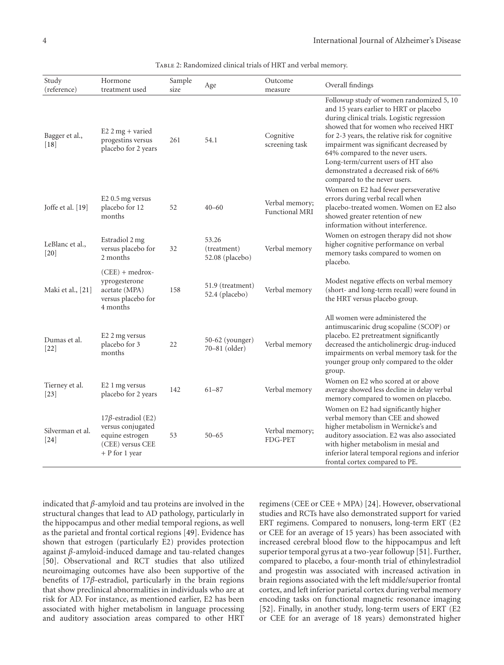| Study<br>(reference)       | Hormone<br>treatment used                                                                                 | Sample<br>size | Age                                     | Outcome<br>measure                      | Overall findings                                                                                                                                                                                                                                                                                                                                                                                                           |
|----------------------------|-----------------------------------------------------------------------------------------------------------|----------------|-----------------------------------------|-----------------------------------------|----------------------------------------------------------------------------------------------------------------------------------------------------------------------------------------------------------------------------------------------------------------------------------------------------------------------------------------------------------------------------------------------------------------------------|
| Bagger et al.,<br>$[18]$   | $E2 2 mg + varied$<br>progestins versus<br>placebo for 2 years                                            | 261            | 54.1                                    | Cognitive<br>screening task             | Followup study of women randomized 5, 10<br>and 15 years earlier to HRT or placebo<br>during clinical trials. Logistic regression<br>showed that for women who received HRT<br>for 2-3 years, the relative risk for cognitive<br>impairment was significant decreased by<br>64% compared to the never users.<br>Long-term/current users of HT also<br>demonstrated a decreased risk of 66%<br>compared to the never users. |
| Joffe et al. $[19]$        | $E2$ 0.5 mg versus<br>placebo for 12<br>months                                                            | 52             | $40 - 60$                               | Verbal memory;<br><b>Functional MRI</b> | Women on E2 had fewer perseverative<br>errors during verbal recall when<br>placebo-treated women. Women on E2 also<br>showed greater retention of new<br>information without interference.                                                                                                                                                                                                                                 |
| LeBlanc et al.,<br>$[20]$  | Estradiol 2 mg<br>versus placebo for<br>2 months                                                          | 32             | 53.26<br>(treatment)<br>52.08 (placebo) | Verbal memory                           | Women on estrogen therapy did not show<br>higher cognitive performance on verbal<br>memory tasks compared to women on<br>placebo.                                                                                                                                                                                                                                                                                          |
| Maki et al., [21]          | $(CEE)$ + medrox-<br>yprogesterone<br>acetate (MPA)<br>versus placebo for<br>4 months                     | 158            | 51.9 (treatment)<br>52.4 (placebo)      | Verbal memory                           | Modest negative effects on verbal memory<br>(short- and long-term recall) were found in<br>the HRT versus placebo group.                                                                                                                                                                                                                                                                                                   |
| Dumas et al.<br>$[22]$     | E2 2 mg versus<br>placebo for 3<br>months                                                                 | 22             | 50-62 (younger)<br>70–81 (older)        | Verbal memory                           | All women were administered the<br>antimuscarinic drug scopaline (SCOP) or<br>placebo. E2 pretreatment significantly<br>decreased the anticholinergic drug-induced<br>impairments on verbal memory task for the<br>younger group only compared to the older<br>group.                                                                                                                                                      |
| Tierney et al.<br>$[23]$   | E2 1 mg versus<br>placebo for 2 years                                                                     | 142            | $61 - 87$                               | Verbal memory                           | Women on E2 who scored at or above<br>average showed less decline in delay verbal<br>memory compared to women on placebo.                                                                                                                                                                                                                                                                                                  |
| Silverman et al.<br>$[24]$ | $17\beta$ -estradiol (E2)<br>versus conjugated<br>equine estrogen<br>(CEE) versus CEE<br>$+$ P for 1 year | 53             | $50 - 65$                               | Verbal memory;<br>FDG-PET               | Women on E2 had significantly higher<br>verbal memory than CEE and showed<br>higher metabolism in Wernicke's and<br>auditory association. E2 was also associated<br>with higher metabolism in mesial and<br>inferior lateral temporal regions and inferior<br>frontal cortex compared to PE.                                                                                                                               |

<span id="page-3-0"></span>TABLE 2: Randomized clinical trials of HRT and verbal memory.

indicated that *β*-amyloid and tau proteins are involved in the structural changes that lead to AD pathology, particularly in the hippocampus and other medial temporal regions, as well as the parietal and frontal cortical regions [\[49](#page-13-9)]. Evidence has shown that estrogen (particularly E2) provides protection against *β*-amyloid-induced damage and tau-related changes [\[50\]](#page-13-10). Observational and RCT studies that also utilized neuroimaging outcomes have also been supportive of the benefits of 17*β*-estradiol, particularly in the brain regions that show preclinical abnormalities in individuals who are at risk for AD. For instance, as mentioned earlier, E2 has been associated with higher metabolism in language processing and auditory association areas compared to other HRT

regimens (CEE or CEE + MPA) [\[24\]](#page-12-13). However, observational studies and RCTs have also demonstrated support for varied ERT regimens. Compared to nonusers, long-term ERT (E2 or CEE for an average of 15 years) has been associated with increased cerebral blood flow to the hippocampus and left superior temporal gyrus at a two-year followup [\[51\]](#page-13-11). Further, compared to placebo, a four-month trial of ethinylestradiol and progestin was associated with increased activation in brain regions associated with the left middle/superior frontal cortex, and left inferior parietal cortex during verbal memory encoding tasks on functional magnetic resonance imaging [\[52\]](#page-13-12). Finally, in another study, long-term users of ERT (E2 or CEE for an average of 18 years) demonstrated higher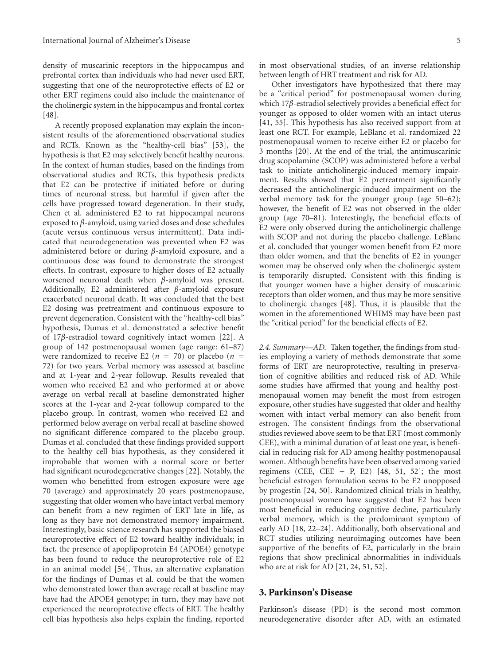density of muscarinic receptors in the hippocampus and prefrontal cortex than individuals who had never used ERT, suggesting that one of the neuroprotective effects of E2 or other ERT regimens could also include the maintenance of the cholinergic system in the hippocampus and frontal cortex [\[48\]](#page-13-8).

A recently proposed explanation may explain the inconsistent results of the aforementioned observational studies and RCTs. Known as the "healthy-cell bias" [\[53](#page-13-13)], the hypothesis is that E2 may selectively benefit healthy neurons. In the context of human studies, based on the findings from observational studies and RCTs, this hypothesis predicts that E2 can be protective if initiated before or during times of neuronal stress, but harmful if given after the cells have progressed toward degeneration. In their study, Chen et al. administered E2 to rat hippocampal neurons exposed to *β*-amyloid, using varied doses and dose schedules (acute versus continuous versus intermittent). Data indicated that neurodegeneration was prevented when E2 was administered before or during *β*-amyloid exposure, and a continuous dose was found to demonstrate the strongest effects. In contrast, exposure to higher doses of E2 actually worsened neuronal death when *β*-amyloid was present. Additionally, E2 administered after *β*-amyloid exposure exacerbated neuronal death. It was concluded that the best E2 dosing was pretreatment and continuous exposure to prevent degeneration. Consistent with the "healthy-cell bias" hypothesis, Dumas et al. demonstrated a selective benefit of 17*β*-estradiol toward cognitively intact women [\[22](#page-12-15)]. A group of 142 postmenopausal women (age range: 61–87) were randomized to receive E2 ( $n = 70$ ) or placebo ( $n =$ 72) for two years. Verbal memory was assessed at baseline and at 1-year and 2-year followup. Results revealed that women who received E2 and who performed at or above average on verbal recall at baseline demonstrated higher scores at the 1-year and 2-year followup compared to the placebo group. In contrast, women who received E2 and performed below average on verbal recall at baseline showed no significant difference compared to the placebo group. Dumas et al. concluded that these findings provided support to the healthy cell bias hypothesis, as they considered it improbable that women with a normal score or better had significant neurodegenerative changes [\[22](#page-12-15)]. Notably, the women who benefitted from estrogen exposure were age 70 (average) and approximately 20 years postmenopause, suggesting that older women who have intact verbal memory can benefit from a new regimen of ERT late in life, as long as they have not demonstrated memory impairment. Interestingly, basic science research has supported the biased neuroprotective effect of E2 toward healthy individuals; in fact, the presence of apoplipoprotein E4 (APOE4) genotype has been found to reduce the neuroprotective role of E2 in an animal model [\[54](#page-13-14)]. Thus, an alternative explanation for the findings of Dumas et al. could be that the women who demonstrated lower than average recall at baseline may have had the APOE4 genotype; in turn, they may have not experienced the neuroprotective effects of ERT. The healthy cell bias hypothesis also helps explain the finding, reported

in most observational studies, of an inverse relationship between length of HRT treatment and risk for AD.

Other investigators have hypothesized that there may be a "critical period" for postmenopausal women during which 17*β*-estradiol selectively provides a beneficial effect for younger as opposed to older women with an intact uterus [\[41,](#page-13-3) [55](#page-13-15)]. This hypothesis has also received support from at least one RCT. For example, LeBlanc et al. randomized 22 postmenopausal women to receive either E2 or placebo for 3 months [\[20\]](#page-12-16). At the end of the trial, the antimuscarinic drug scopolamine (SCOP) was administered before a verbal task to initiate anticholinergic-induced memory impairment. Results showed that E2 pretreatment significantly decreased the anticholinergic-induced impairment on the verbal memory task for the younger group (age 50–62); however, the benefit of E2 was not observed in the older group (age 70–81). Interestingly, the beneficial effects of E2 were only observed during the anticholinergic challenge with SCOP and not during the placebo challenge. LeBlanc et al. concluded that younger women benefit from E2 more than older women, and that the benefits of E2 in younger women may be observed only when the cholinergic system is temporarily disrupted. Consistent with this finding is that younger women have a higher density of muscarinic receptors than older women, and thus may be more sensitive to cholinergic changes [\[48\]](#page-13-8). Thus, it is plausible that the women in the aforementioned WHIMS may have been past the "critical period" for the beneficial effects of E2.

*2.4. Summary—AD.* Taken together, the findings from studies employing a variety of methods demonstrate that some forms of ERT are neuroprotective, resulting in preservation of cognitive abilities and reduced risk of AD. While some studies have affirmed that young and healthy postmenopausal women may benefit the most from estrogen exposure, other studies have suggested that older and healthy women with intact verbal memory can also benefit from estrogen. The consistent findings from the observational studies reviewed above seem to be that ERT (most commonly CEE), with a minimal duration of at least one year, is beneficial in reducing risk for AD among healthy postmenopausal women. Although benefits have been observed among varied regimens (CEE, CEE + P, E2)  $[48, 51, 52]$  $[48, 51, 52]$  $[48, 51, 52]$  $[48, 51, 52]$  $[48, 51, 52]$  $[48, 51, 52]$ ; the most beneficial estrogen formulation seems to be E2 unopposed by progestin [\[24,](#page-12-13) [50\]](#page-13-10). Randomized clinical trials in healthy, postmenopausal women have suggested that E2 has been most beneficial in reducing cognitive decline, particularly verbal memory, which is the predominant symptom of early AD [\[18](#page-12-14), [22](#page-12-15)[–24\]](#page-12-13). Additionally, both observational and RCT studies utilizing neuroimaging outcomes have been supportive of the benefits of E2, particularly in the brain regions that show preclinical abnormalities in individuals who are at risk for AD [\[21,](#page-12-12) [24,](#page-12-13) [51](#page-13-11), [52](#page-13-12)].

#### **3. Parkinson's Disease**

Parkinson's disease (PD) is the second most common neurodegenerative disorder after AD, with an estimated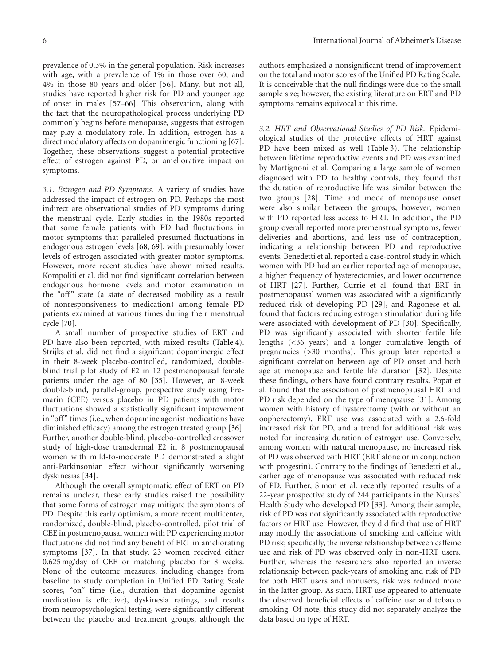prevalence of 0.3% in the general population. Risk increases with age, with a prevalence of 1% in those over 60, and 4% in those 80 years and older [\[56](#page-13-16)]. Many, but not all, studies have reported higher risk for PD and younger age of onset in males [\[57](#page-13-17)[–66](#page-13-18)]. This observation, along with the fact that the neuropathological process underlying PD commonly begins before menopause, suggests that estrogen may play a modulatory role. In addition, estrogen has a direct modulatory affects on dopaminergic functioning [\[67\]](#page-13-19). Together, these observations suggest a potential protective effect of estrogen against PD, or ameliorative impact on symptoms.

*3.1. Estrogen and PD Symptoms.* A variety of studies have addressed the impact of estrogen on PD. Perhaps the most indirect are observational studies of PD symptoms during the menstrual cycle. Early studies in the 1980s reported that some female patients with PD had fluctuations in motor symptoms that paralleled presumed fluctuations in endogenous estrogen levels [\[68](#page-14-0), [69](#page-14-1)], with presumably lower levels of estrogen associated with greater motor symptoms. However, more recent studies have shown mixed results. Kompoliti et al. did not find significant correlation between endogenous hormone levels and motor examination in the "off" state (a state of decreased mobility as a result of nonresponsiveness to medication) among female PD patients examined at various times during their menstrual cycle [\[70\]](#page-14-2).

A small number of prospective studies of ERT and PD have also been reported, with mixed results [\(Table 4\)](#page-7-0). Strijks et al. did not find a significant dopaminergic effect in their 8-week placebo-controlled, randomized, doubleblind trial pilot study of E2 in 12 postmenopausal female patients under the age of 80 [\[35\]](#page-12-19). However, an 8-week double-blind, parallel-group, prospective study using Premarin (CEE) versus placebo in PD patients with motor fluctuations showed a statistically significant improvement in "off" times (i.e., when dopamine agonist medications have diminished efficacy) among the estrogen treated group [\[36\]](#page-13-20). Further, another double-blind, placebo-controlled crossover study of high-dose transdermal E2 in 8 postmenopausal women with mild-to-moderate PD demonstrated a slight anti-Parkinsonian effect without significantly worsening dyskinesias [\[34\]](#page-12-20).

Although the overall symptomatic effect of ERT on PD remains unclear, these early studies raised the possibility that some forms of estrogen may mitigate the symptoms of PD. Despite this early optimism, a more recent multicenter, randomized, double-blind, placebo-controlled, pilot trial of CEE in postmenopausal women with PD experiencing motor fluctuations did not find any benefit of ERT in ameliorating symptoms [\[37](#page-13-21)]. In that study, 23 women received either 0.625 mg/day of CEE or matching placebo for 8 weeks. None of the outcome measures, including changes from baseline to study completion in Unified PD Rating Scale scores, "on" time (i.e., duration that dopamine agonist medication is effective), dyskinesia ratings, and results from neuropsychological testing, were significantly different between the placebo and treatment groups, although the

authors emphasized a nonsignificant trend of improvement on the total and motor scores of the Unified PD Rating Scale. It is conceivable that the null findings were due to the small sample size; however, the existing literature on ERT and PD symptoms remains equivocal at this time.

*3.2. HRT and Observational Studies of PD Risk.* Epidemiological studies of the protective effects of HRT against PD have been mixed as well [\(Table 3\)](#page-6-0). The relationship between lifetime reproductive events and PD was examined by Martignoni et al. Comparing a large sample of women diagnosed with PD to healthy controls, they found that the duration of reproductive life was similar between the two groups [\[28](#page-12-21)]. Time and mode of menopause onset were also similar between the groups; however, women with PD reported less access to HRT. In addition, the PD group overall reported more premenstrual symptoms, fewer deliveries and abortions, and less use of contraception, indicating a relationship between PD and reproductive events. Benedetti et al. reported a case-control study in which women with PD had an earlier reported age of menopause, a higher frequency of hysterectomies, and lower occurrence of HRT [\[27](#page-12-22)]. Further, Currie et al. found that ERT in postmenopausal women was associated with a significantly reduced risk of developing PD [\[29\]](#page-12-23), and Ragonese et al. found that factors reducing estrogen stimulation during life were associated with development of PD [\[30\]](#page-12-24). Specifically, PD was significantly associated with shorter fertile life lengths (*<*36 years) and a longer cumulative length of pregnancies (*>*30 months). This group later reported a significant correlation between age of PD onset and both age at menopause and fertile life duration [\[32\]](#page-12-25). Despite these findings, others have found contrary results. Popat et al. found that the association of postmenopausal HRT and PD risk depended on the type of menopause [\[31\]](#page-12-26). Among women with history of hysterectomy (with or without an oopherectomy), ERT use was associated with a 2.6-fold increased risk for PD, and a trend for additional risk was noted for increasing duration of estrogen use. Conversely, among women with natural menopause, no increased risk of PD was observed with HRT (ERT alone or in conjunction with progestin). Contrary to the findings of Benedetti et al., earlier age of menopause was associated with reduced risk of PD. Further, Simon et al. recently reported results of a 22-year prospective study of 244 participants in the Nurses' Health Study who developed PD [\[33\]](#page-12-27). Among their sample, risk of PD was not significantly associated with reproductive factors or HRT use. However, they did find that use of HRT may modify the associations of smoking and caffeine with PD risk; specifically, the inverse relationship between caffeine use and risk of PD was observed only in non-HRT users. Further, whereas the researchers also reported an inverse relationship between pack-years of smoking and risk of PD for both HRT users and nonusers, risk was reduced more in the latter group. As such, HRT use appeared to attenuate the observed beneficial effects of caffeine use and tobacco smoking. Of note, this study did not separately analyze the data based on type of HRT.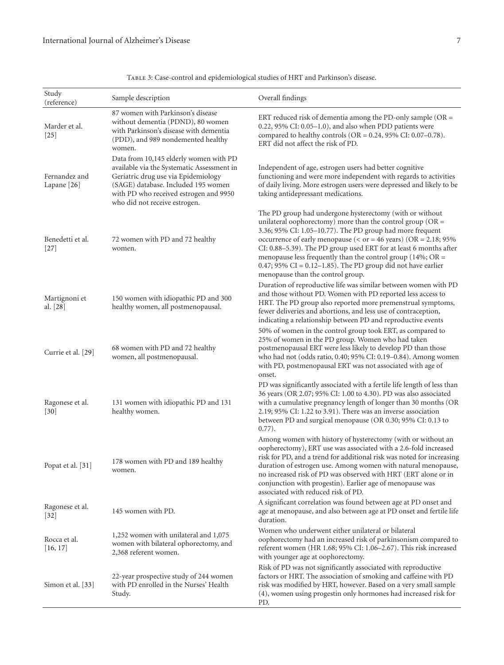| Study<br>(reference)         | Sample description                                                                                                                                                                                                                            | Overall findings                                                                                                                                                                                                                                                                                                                                                                                                                                                                                                 |
|------------------------------|-----------------------------------------------------------------------------------------------------------------------------------------------------------------------------------------------------------------------------------------------|------------------------------------------------------------------------------------------------------------------------------------------------------------------------------------------------------------------------------------------------------------------------------------------------------------------------------------------------------------------------------------------------------------------------------------------------------------------------------------------------------------------|
| Marder et al.<br>$[25]$      | 87 women with Parkinson's disease<br>without dementia (PDND), 80 women<br>with Parkinson's disease with dementia<br>(PDD), and 989 nondemented healthy<br>women.                                                                              | ERT reduced risk of dementia among the PD-only sample ( $OR =$<br>0.22, 95% CI: 0.05-1.0), and also when PDD patients were<br>compared to healthy controls (OR = $0.24$ , 95% CI: $0.07-0.78$ ).<br>ERT did not affect the risk of PD.                                                                                                                                                                                                                                                                           |
| Fernandez and<br>Lapane [26] | Data from 10,145 elderly women with PD<br>available via the Systematic Assessment in<br>Geriatric drug use via Epidemiology<br>(SAGE) database. Included 195 women<br>with PD who received estrogen and 9950<br>who did not receive estrogen. | Independent of age, estrogen users had better cognitive<br>functioning and were more independent with regards to activities<br>of daily living. More estrogen users were depressed and likely to be<br>taking antidepressant medications.                                                                                                                                                                                                                                                                        |
| Benedetti et al.<br>$[27]$   | 72 women with PD and 72 healthy<br>women.                                                                                                                                                                                                     | The PD group had undergone hysterectomy (with or without<br>unilateral oophorectomy) more than the control group ( $OR =$<br>3.36; 95% CI: 1.05-10.77). The PD group had more frequent<br>occurrence of early menopause ( $\langle$ or = 46 years) (OR = 2.18; 95%<br>CI: 0.88-5.39). The PD group used ERT for at least 6 months after<br>menopause less frequently than the control group (14%; $OR =$<br>0.47; 95% CI = $0.12-1.85$ ). The PD group did not have earlier<br>menopause than the control group. |
| Martignoni et<br>al. [28]    | 150 women with idiopathic PD and 300<br>healthy women, all postmenopausal.                                                                                                                                                                    | Duration of reproductive life was similar between women with PD<br>and those without PD. Women with PD reported less access to<br>HRT. The PD group also reported more premenstrual symptoms,<br>fewer deliveries and abortions, and less use of contraception,<br>indicating a relationship between PD and reproductive events                                                                                                                                                                                  |
| Currie et al. [29]           | 68 women with PD and 72 healthy<br>women, all postmenopausal.                                                                                                                                                                                 | 50% of women in the control group took ERT, as compared to<br>25% of women in the PD group. Women who had taken<br>postmenopausal ERT were less likely to develop PD than those<br>who had not (odds ratio, 0.40; 95% CI: 0.19-0.84). Among women<br>with PD, postmenopausal ERT was not associated with age of<br>onset.                                                                                                                                                                                        |
| Ragonese et al.<br>$[30]$    | 131 women with idiopathic PD and 131<br>healthy women.                                                                                                                                                                                        | PD was significantly associated with a fertile life length of less than<br>36 years (OR 2.07; 95% CI: 1.00 to 4.30). PD was also associated<br>with a cumulative pregnancy length of longer than 30 months (OR<br>2.19; 95% CI: 1.22 to 3.91). There was an inverse association<br>between PD and surgical menopause (OR 0.30; 95% CI: 0.13 to<br>$0.77$ ).                                                                                                                                                      |
| Popat et al. [31]            | 178 women with PD and 189 healthy<br>women.                                                                                                                                                                                                   | Among women with history of hysterectomy (with or without an<br>oopherectomy), ERT use was associated with a 2.6-fold increased<br>risk for PD, and a trend for additional risk was noted for increasing<br>duration of estrogen use. Among women with natural menopause,<br>no increased risk of PD was observed with HRT (ERT alone or in<br>conjunction with progestin). Earlier age of menopause was<br>associated with reduced risk of PD.                                                                  |
| Ragonese et al.<br>$[32]$    | 145 women with PD.                                                                                                                                                                                                                            | A significant correlation was found between age at PD onset and<br>age at menopause, and also between age at PD onset and fertile life<br>duration.                                                                                                                                                                                                                                                                                                                                                              |
| Rocca et al.<br>[16, 17]     | 1,252 women with unilateral and 1,075<br>women with bilateral ophorectomy, and<br>2,368 referent women.                                                                                                                                       | Women who underwent either unilateral or bilateral<br>oophorectomy had an increased risk of parkinsonism compared to<br>referent women (HR 1.68; 95% CI: 1.06-2.67). This risk increased<br>with younger age at oophorectomy.                                                                                                                                                                                                                                                                                    |
| Simon et al. [33]            | 22-year prospective study of 244 women<br>with PD enrolled in the Nurses' Health<br>Study.                                                                                                                                                    | Risk of PD was not significantly associated with reproductive<br>factors or HRT. The association of smoking and caffeine with PD<br>risk was modified by HRT, however. Based on a very small sample<br>(4), women using progestin only hormones had increased risk for<br>PD.                                                                                                                                                                                                                                    |

<span id="page-6-0"></span>Table 3: Case-control and epidemiological studies of HRT and Parkinson's disease.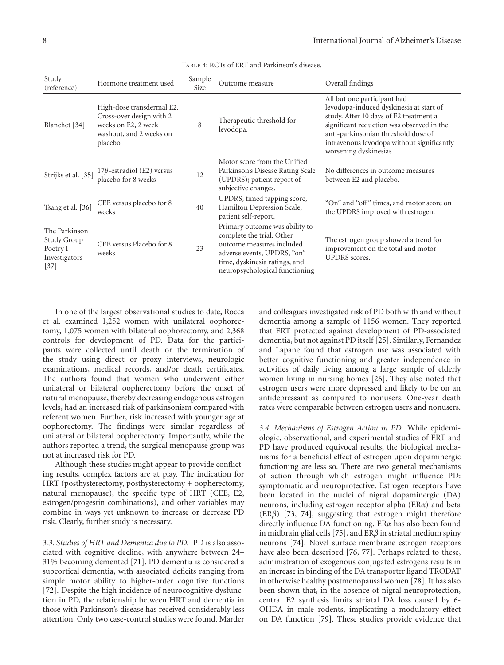| Study<br>(reference)                                                | Hormone treatment used                                                                                             | Sample<br><b>Size</b> | Outcome measure                                                                                                                                                                            | Overall findings                                                                                                                                                                                                                                                            |
|---------------------------------------------------------------------|--------------------------------------------------------------------------------------------------------------------|-----------------------|--------------------------------------------------------------------------------------------------------------------------------------------------------------------------------------------|-----------------------------------------------------------------------------------------------------------------------------------------------------------------------------------------------------------------------------------------------------------------------------|
| Blanchet [34]                                                       | High-dose transdermal E2.<br>Cross-over design with 2<br>weeks on E2, 2 week<br>washout, and 2 weeks on<br>placebo | 8                     | Therapeutic threshold for<br>levodopa.                                                                                                                                                     | All but one participant had<br>levodopa-induced dyskinesia at start of<br>study. After 10 days of E2 treatment a<br>significant reduction was observed in the<br>anti-parkinsonian threshold dose of<br>intravenous levodopa without significantly<br>worsening dyskinesias |
| Strijks et al. [35]                                                 | $17\beta$ -estradiol (E2) versus<br>placebo for 8 weeks                                                            | 12                    | Motor score from the Unified<br>Parkinson's Disease Rating Scale<br>(UPDRS); patient report of<br>subjective changes.                                                                      | No differences in outcome measures<br>between E2 and placebo.                                                                                                                                                                                                               |
| Tsang et al. [36]                                                   | CEE versus placebo for 8<br>weeks                                                                                  | 40                    | UPDRS, timed tapping score,<br>Hamilton Depression Scale,<br>patient self-report.                                                                                                          | "On" and "off" times, and motor score on<br>the UPDRS improved with estrogen.                                                                                                                                                                                               |
| The Parkinson<br>Study Group<br>Poetry I<br>Investigators<br>$[37]$ | CEE versus Placebo for 8<br>weeks                                                                                  | 23                    | Primary outcome was ability to<br>complete the trial. Other<br>outcome measures included<br>adverse events, UPDRS, "on"<br>time, dyskinesia ratings, and<br>neuropsychological functioning | The estrogen group showed a trend for<br>improvement on the total and motor<br><b>UPDRS</b> scores.                                                                                                                                                                         |

<span id="page-7-0"></span>Table 4: RCTs of ERT and Parkinson's disease.

In one of the largest observational studies to date, Rocca et al. examined 1,252 women with unilateral oophorectomy, 1,075 women with bilateral oophorectomy, and 2,368 controls for development of PD. Data for the participants were collected until death or the termination of the study using direct or proxy interviews, neurologic examinations, medical records, and/or death certificates. The authors found that women who underwent either unilateral or bilateral oopherectomy before the onset of natural menopause, thereby decreasing endogenous estrogen levels, had an increased risk of parkinsonism compared with referent women. Further, risk increased with younger age at oophorectomy. The findings were similar regardless of unilateral or bilateral oopherectomy. Importantly, while the authors reported a trend, the surgical menopause group was not at increased risk for PD.

Although these studies might appear to provide conflicting results, complex factors are at play. The indication for HRT (posthysterectomy, posthysterectomy + oopherectomy, natural menopause), the specific type of HRT (CEE, E2, estrogen/progestin combinations), and other variables may combine in ways yet unknown to increase or decrease PD risk. Clearly, further study is necessary.

*3.3. Studies of HRT and Dementia due to PD.* PD is also associated with cognitive decline, with anywhere between 24– 31% becoming demented [\[71](#page-14-3)]. PD dementia is considered a subcortical dementia, with associated deficits ranging from simple motor ability to higher-order cognitive functions [\[72\]](#page-14-4). Despite the high incidence of neurocognitive dysfunction in PD, the relationship between HRT and dementia in those with Parkinson's disease has received considerably less attention. Only two case-control studies were found. Marder and colleagues investigated risk of PD both with and without dementia among a sample of 1156 women. They reported that ERT protected against development of PD-associated dementia, but not against PD itself [\[25\]](#page-12-28). Similarly, Fernandez and Lapane found that estrogen use was associated with better cognitive functioning and greater independence in activities of daily living among a large sample of elderly women living in nursing homes [\[26](#page-12-29)]. They also noted that estrogen users were more depressed and likely to be on an antidepressant as compared to nonusers. One-year death rates were comparable between estrogen users and nonusers.

*3.4. Mechanisms of Estrogen Action in PD.* While epidemiologic, observational, and experimental studies of ERT and PD have produced equivocal results, the biological mechanisms for a beneficial effect of estrogen upon dopaminergic functioning are less so. There are two general mechanisms of action through which estrogen might influence PD: symptomatic and neuroprotective. Estrogen receptors have been located in the nuclei of nigral dopaminergic (DA) neurons, including estrogen receptor alpha (ER*α*) and beta (ER*β*) [\[73](#page-14-5), [74\]](#page-14-6), suggesting that estrogen might therefore directly influence DA functioning. ER*α* has also been found in midbrain glial cells [\[75\]](#page-14-7), and ER*β* in striatal medium spiny neurons [\[74](#page-14-6)]. Novel surface membrane estrogen receptors have also been described [\[76](#page-14-8), [77\]](#page-14-9). Perhaps related to these, administration of exogenous conjugated estrogens results in an increase in binding of the DA transporter ligand TRODAT in otherwise healthy postmenopausal women [\[78](#page-14-10)]. It has also been shown that, in the absence of nigral neuroprotection, central E2 synthesis limits striatal DA loss caused by 6- OHDA in male rodents, implicating a modulatory effect on DA function [\[79\]](#page-14-11). These studies provide evidence that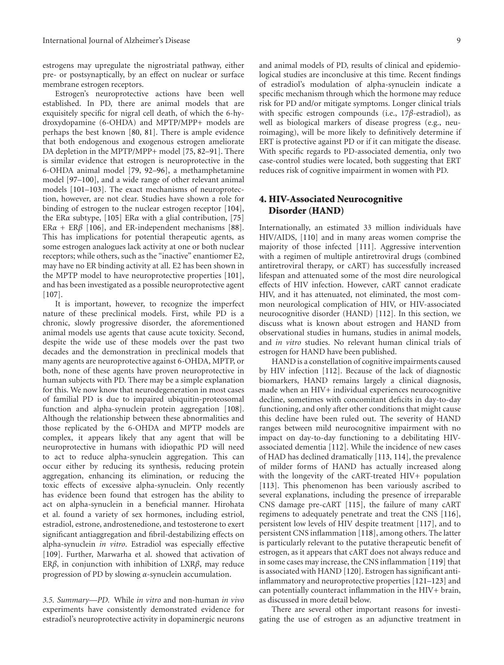estrogens may upregulate the nigrostriatal pathway, either pre- or postsynaptically, by an effect on nuclear or surface membrane estrogen receptors.

Estrogen's neuroprotective actions have been well established. In PD, there are animal models that are exquisitely specific for nigral cell death, of which the 6-hydroxydopamine (6-OHDA) and MPTP/MPP+ models are perhaps the best known [\[80](#page-14-12), [81\]](#page-14-13). There is ample evidence that both endogenous and exogenous estrogen ameliorate DA depletion in the MPTP/MPP+ model [\[75](#page-14-7), [82](#page-14-14)[–91](#page-14-15)]. There is similar evidence that estrogen is neuroprotective in the 6-OHDA animal model [\[79,](#page-14-11) [92](#page-14-16)[–96](#page-14-17)], a methamphetamine model [\[97](#page-14-18)[–100\]](#page-15-0), and a wide range of other relevant animal models [\[101](#page-15-1)[–103\]](#page-15-2). The exact mechanisms of neuroprotection, however, are not clear. Studies have shown a role for binding of estrogen to the nuclear estrogen receptor [\[104\]](#page-15-3), the ER*α* subtype, [\[105\]](#page-15-4) ER*α* with a glial contribution, [\[75](#page-14-7)] ER $\alpha$  + ER $\beta$  [\[106](#page-15-5)], and ER-independent mechanisms [\[88\]](#page-14-19). This has implications for potential therapeutic agents, as some estrogen analogues lack activity at one or both nuclear receptors; while others, such as the "inactive" enantiomer E2, may have no ER binding activity at all. E2 has been shown in the MPTP model to have neuroprotective properties [\[101\]](#page-15-1), and has been investigated as a possible neuroprotective agent [\[107\]](#page-15-6).

It is important, however, to recognize the imperfect nature of these preclinical models. First, while PD is a chronic, slowly progressive disorder, the aforementioned animal models use agents that cause acute toxicity. Second, despite the wide use of these models over the past two decades and the demonstration in preclinical models that many agents are neuroprotective against 6-OHDA, MPTP, or both, none of these agents have proven neuroprotective in human subjects with PD. There may be a simple explanation for this. We now know that neurodegeneration in most cases of familial PD is due to impaired ubiquitin-proteosomal function and alpha-synuclein protein aggregation [\[108\]](#page-15-7). Although the relationship between these abnormalities and those replicated by the 6-OHDA and MPTP models are complex, it appears likely that any agent that will be neuroprotective in humans with idiopathic PD will need to act to reduce alpha-synuclein aggregation. This can occur either by reducing its synthesis, reducing protein aggregation, enhancing its elimination, or reducing the toxic effects of excessive alpha-synuclein. Only recently has evidence been found that estrogen has the ability to act on alpha-synuclein in a beneficial manner. Hirohata et al. found a variety of sex hormones, including estriol, estradiol, estrone, androstenedione, and testosterone to exert significant antiaggregation and fibril-destabilizing effects on alpha-synuclein *in vitro*. Estradiol was especially effective [\[109\]](#page-15-8). Further, Marwarha et al. showed that activation of ER*β*, in conjunction with inhibition of LXR*β*, may reduce progression of PD by slowing *α*-synuclein accumulation.

*3.5. Summary—PD.* While *in vitro* and non-human *in vivo* experiments have consistently demonstrated evidence for estradiol's neuroprotective activity in dopaminergic neurons

and animal models of PD, results of clinical and epidemiological studies are inconclusive at this time. Recent findings of estradiol's modulation of alpha-synuclein indicate a specific mechanism through which the hormone may reduce risk for PD and/or mitigate symptoms. Longer clinical trials with specific estrogen compounds (i.e., 17*β*-estradiol), as well as biological markers of disease progress (e.g., neuroimaging), will be more likely to definitively determine if ERT is protective against PD or if it can mitigate the disease. With specific regards to PD-associated dementia, only two case-control studies were located, both suggesting that ERT reduces risk of cognitive impairment in women with PD.

### **4. HIV-Associated Neurocognitive Disorder (HAND)**

Internationally, an estimated 33 million individuals have HIV/AIDS, [\[110](#page-15-9)] and in many areas women comprise the majority of those infected [\[111](#page-15-10)]. Aggressive intervention with a regimen of multiple antiretroviral drugs (combined antiretroviral therapy, or cART) has successfully increased lifespan and attenuated some of the most dire neurological effects of HIV infection. However, cART cannot eradicate HIV, and it has attenuated, not eliminated, the most common neurological complication of HIV, or HIV-associated neurocognitive disorder (HAND) [\[112](#page-15-11)]. In this section, we discuss what is known about estrogen and HAND from observational studies in humans, studies in animal models, and *in vitro* studies. No relevant human clinical trials of estrogen for HAND have been published.

HAND is a constellation of cognitive impairments caused by HIV infection [\[112\]](#page-15-11). Because of the lack of diagnostic biomarkers, HAND remains largely a clinical diagnosis, made when an HIV+ individual experiences neurocognitive decline, sometimes with concomitant deficits in day-to-day functioning, and only after other conditions that might cause this decline have been ruled out. The severity of HAND ranges between mild neurocognitive impairment with no impact on day-to-day functioning to a debilitating HIVassociated dementia [\[112](#page-15-11)]. While the incidence of new cases of HAD has declined dramatically [\[113](#page-15-12), [114](#page-15-13)], the prevalence of milder forms of HAND has actually increased along with the longevity of the cART-treated HIV+ population [\[113\]](#page-15-12). This phenomenon has been variously ascribed to several explanations, including the presence of irreparable CNS damage pre-cART [\[115](#page-15-14)], the failure of many cART regimens to adequately penetrate and treat the CNS [\[116\]](#page-15-15), persistent low levels of HIV despite treatment [\[117\]](#page-15-16), and to persistent CNS inflammation [\[118](#page-15-17)], among others. The latter is particularly relevant to the putative therapeutic benefit of estrogen, as it appears that cART does not always reduce and in some cases may increase, the CNS inflammation [\[119\]](#page-15-18) that is associated with HAND [\[120\]](#page-15-19). Estrogen has significant antiinflammatory and neuroprotective properties [\[121](#page-15-20)[–123](#page-15-21)] and can potentially counteract inflammation in the HIV+ brain, as discussed in more detail below.

There are several other important reasons for investigating the use of estrogen as an adjunctive treatment in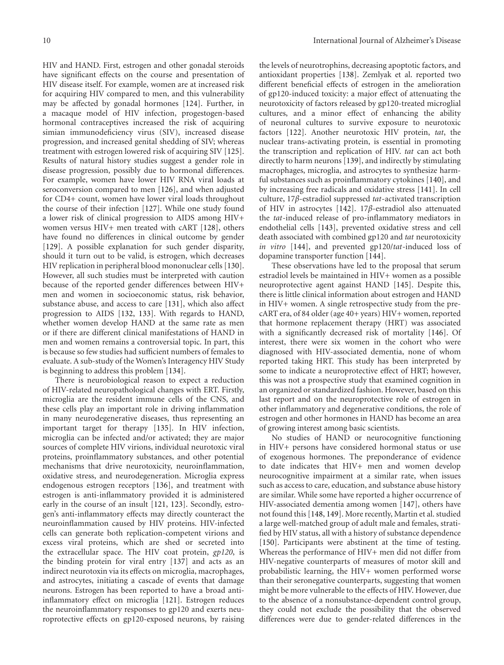HIV and HAND. First, estrogen and other gonadal steroids have significant effects on the course and presentation of HIV disease itself. For example, women are at increased risk for acquiring HIV compared to men, and this vulnerability may be affected by gonadal hormones [\[124](#page-15-22)]. Further, in a macaque model of HIV infection, progestogen-based hormonal contraceptives increased the risk of acquiring simian immunodeficiency virus (SIV), increased disease progression, and increased genital shedding of SIV; whereas treatment with estrogen lowered risk of acquiring SIV [\[125\]](#page-15-23). Results of natural history studies suggest a gender role in disease progression, possibly due to hormonal differences. For example, women have lower HIV RNA viral loads at seroconversion compared to men [\[126\]](#page-15-24), and when adjusted for CD4+ count, women have lower viral loads throughout the course of their infection [\[127\]](#page-15-25). While one study found a lower risk of clinical progression to AIDS among HIV+ women versus HIV+ men treated with cART [\[128\]](#page-15-26), others have found no differences in clinical outcome by gender [\[129\]](#page-15-27). A possible explanation for such gender disparity, should it turn out to be valid, is estrogen, which decreases HIV replication in peripheral blood mononuclear cells [\[130\]](#page-16-0). However, all such studies must be interpreted with caution because of the reported gender differences between HIV+ men and women in socioeconomic status, risk behavior, substance abuse, and access to care [\[131](#page-16-1)], which also affect progression to AIDS [\[132](#page-16-2), [133](#page-16-3)]. With regards to HAND, whether women develop HAND at the same rate as men or if there are different clinical manifestations of HAND in men and women remains a controversial topic. In part, this is because so few studies had sufficient numbers of females to evaluate. A sub-study of the Women's Interagency HIV Study is beginning to address this problem [\[134](#page-16-4)].

There is neurobiological reason to expect a reduction of HIV-related neuropathological changes with ERT. Firstly, microglia are the resident immune cells of the CNS, and these cells play an important role in driving inflammation in many neurodegenerative diseases, thus representing an important target for therapy [\[135\]](#page-16-5). In HIV infection, microglia can be infected and/or activated; they are major sources of complete HIV virions, individual neurotoxic viral proteins, proinflammatory substances, and other potential mechanisms that drive neurotoxicity, neuroinflammation, oxidative stress, and neurodegeneration. Microglia express endogenous estrogen receptors [\[136\]](#page-16-6), and treatment with estrogen is anti-inflammatory provided it is administered early in the course of an insult [\[121,](#page-15-20) [123\]](#page-15-21). Secondly, estrogen's anti-inflammatory effects may directly counteract the neuroinflammation caused by HIV proteins. HIV-infected cells can generate both replication-competent virions and excess viral proteins, which are shed or secreted into the extracellular space. The HIV coat protein, *gp120*, is the binding protein for viral entry [\[137\]](#page-16-7) and acts as an indirect neurotoxin via its effects on microglia, macrophages, and astrocytes, initiating a cascade of events that damage neurons. Estrogen has been reported to have a broad antiinflammatory effect on microglia [\[121](#page-15-20)]. Estrogen reduces the neuroinflammatory responses to gp120 and exerts neuroprotective effects on gp120-exposed neurons, by raising

the levels of neurotrophins, decreasing apoptotic factors, and antioxidant properties [\[138\]](#page-16-8). Zemlyak et al. reported two different beneficial effects of estrogen in the amelioration of gp120-induced toxicity: a major effect of attenuating the neurotoxicity of factors released by gp120-treated microglial cultures, and a minor effect of enhancing the ability of neuronal cultures to survive exposure to neurotoxic factors [\[122\]](#page-15-28). Another neurotoxic HIV protein, *tat*, the nuclear trans-activating protein, is essential in promoting the transcription and replication of HIV. *tat* can act both directly to harm neurons [\[139\]](#page-16-9), and indirectly by stimulating macrophages, microglia, and astrocytes to synthesize harmful substances such as proinflammatory cytokines [\[140\]](#page-16-10), and by increasing free radicals and oxidative stress [\[141\]](#page-16-11). In cell culture, 17*β*-estradiol suppressed *tat*-activated transcription of HIV in astrocytes [\[142](#page-16-12)]. 17*β*-estradiol also attenuated the *tat*-induced release of pro-inflammatory mediators in endothelial cells [\[143](#page-16-13)], prevented oxidative stress and cell death associated with combined gp120 and *tat* neurotoxicity *in vitro* [\[144\]](#page-16-14), and prevented gp120/*tat*-induced loss of dopamine transporter function [\[144](#page-16-14)].

These observations have led to the proposal that serum estradiol levels be maintained in HIV+ women as a possible neuroprotective agent against HAND [\[145](#page-16-15)]. Despite this, there is little clinical information about estrogen and HAND in HIV+ women. A single retrospective study from the precART era, of 84 older (age 40+ years) HIV+ women, reported that hormone replacement therapy (HRT) was associated with a significantly decreased risk of mortality [\[146\]](#page-16-16). Of interest, there were six women in the cohort who were diagnosed with HIV-associated dementia, none of whom reported taking HRT. This study has been interpreted by some to indicate a neuroprotective effect of HRT; however, this was not a prospective study that examined cognition in an organized or standardized fashion. However, based on this last report and on the neuroprotective role of estrogen in other inflammatory and degenerative conditions, the role of estrogen and other hormones in HAND has become an area of growing interest among basic scientists.

No studies of HAND or neurocognitive functioning in HIV+ persons have considered hormonal status or use of exogenous hormones. The preponderance of evidence to date indicates that HIV+ men and women develop neurocognitive impairment at a similar rate, when issues such as access to care, education, and substance abuse history are similar. While some have reported a higher occurrence of HIV-associated dementia among women [\[147\]](#page-16-17), others have not found this [\[148,](#page-16-18) [149](#page-16-19)]. More recently, Martin et al. studied a large well-matched group of adult male and females, stratified by HIV status, all with a history of substance dependence [\[150\]](#page-16-20). Participants were abstinent at the time of testing. Whereas the performance of HIV+ men did not differ from HIV-negative counterparts of measures of motor skill and probabilistic learning, the HIV+ women performed worse than their seronegative counterparts, suggesting that women might be more vulnerable to the effects of HIV. However, due to the absence of a nonsubstance-dependent control group, they could not exclude the possibility that the observed differences were due to gender-related differences in the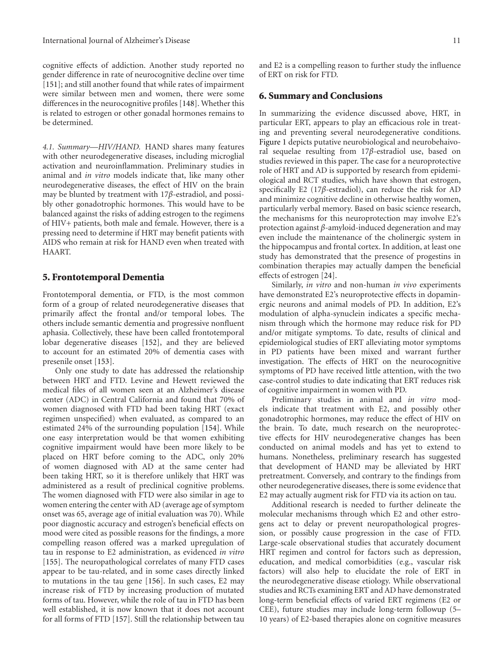cognitive effects of addiction. Another study reported no gender difference in rate of neurocognitive decline over time [\[151\]](#page-16-21); and still another found that while rates of impairment were similar between men and women, there were some differences in the neurocognitive profiles [\[148](#page-16-18)]. Whether this is related to estrogen or other gonadal hormones remains to be determined.

*4.1. Summary—HIV/HAND.* HAND shares many features with other neurodegenerative diseases, including microglial activation and neuroinflammation. Preliminary studies in animal and *in vitro* models indicate that, like many other neurodegenerative diseases, the effect of HIV on the brain may be blunted by treatment with 17*β*-estradiol, and possibly other gonadotrophic hormones. This would have to be balanced against the risks of adding estrogen to the regimens of HIV+ patients, both male and female. However, there is a pressing need to determine if HRT may benefit patients with AIDS who remain at risk for HAND even when treated with HAART.

#### **5. Frontotemporal Dementia**

Frontotemporal dementia, or FTD, is the most common form of a group of related neurodegenerative diseases that primarily affect the frontal and/or temporal lobes. The others include semantic dementia and progressive nonfluent aphasia. Collectively, these have been called frontotemporal lobar degenerative diseases [\[152\]](#page-16-22), and they are believed to account for an estimated 20% of dementia cases with presenile onset [\[153](#page-16-23)].

Only one study to date has addressed the relationship between HRT and FTD. Levine and Hewett reviewed the medical files of all women seen at an Alzheimer's disease center (ADC) in Central California and found that 70% of women diagnosed with FTD had been taking HRT (exact regimen unspecified) when evaluated, as compared to an estimated 24% of the surrounding population [\[154](#page-16-24)]. While one easy interpretation would be that women exhibiting cognitive impairment would have been more likely to be placed on HRT before coming to the ADC, only 20% of women diagnosed with AD at the same center had been taking HRT, so it is therefore unlikely that HRT was administered as a result of preclinical cognitive problems. The women diagnosed with FTD were also similar in age to women entering the center with AD (average age of symptom onset was 65, average age of initial evaluation was 70). While poor diagnostic accuracy and estrogen's beneficial effects on mood were cited as possible reasons for the findings, a more compelling reason offered was a marked upregulation of tau in response to E2 administration, as evidenced *in vitro* [\[155\]](#page-16-25). The neuropathological correlates of many FTD cases appear to be tau-related, and in some cases directly linked to mutations in the tau gene [\[156\]](#page-16-26). In such cases, E2 may increase risk of FTD by increasing production of mutated forms of tau. However, while the role of tau in FTD has been well established, it is now known that it does not account for all forms of FTD [\[157\]](#page-16-27). Still the relationship between tau

and E2 is a compelling reason to further study the influence of ERT on risk for FTD.

#### **6. Summary and Conclusions**

In summarizing the evidence discussed above, HRT, in particular ERT, appears to play an efficacious role in treating and preventing several neurodegenerative conditions. [Figure 1](#page-11-4) depicts putative neurobiological and neurobehaivoral sequelae resulting from 17*β*-estradiol use, based on studies reviewed in this paper. The case for a neuroprotective role of HRT and AD is supported by research from epidemiological and RCT studies, which have shown that estrogen, specifically E2 (17*β*-estradiol), can reduce the risk for AD and minimize cognitive decline in otherwise healthy women, particularly verbal memory. Based on basic science research, the mechanisms for this neuroprotection may involve E2's protection against *β*-amyloid-induced degeneration and may even include the maintenance of the cholinergic system in the hippocampus and frontal cortex. In addition, at least one study has demonstrated that the presence of progestins in combination therapies may actually dampen the beneficial effects of estrogen [\[24](#page-12-13)].

Similarly, *in vitro* and non-human *in vivo* experiments have demonstrated E2's neuroprotective effects in dopaminergic neurons and animal models of PD. In addition, E2's modulation of alpha-synuclein indicates a specific mechanism through which the hormone may reduce risk for PD and/or mitigate symptoms. To date, results of clinical and epidemiological studies of ERT alleviating motor symptoms in PD patients have been mixed and warrant further investigation. The effects of HRT on the neurocognitive symptoms of PD have received little attention, with the two case-control studies to date indicating that ERT reduces risk of cognitive impairment in women with PD.

Preliminary studies in animal and *in vitro* models indicate that treatment with E2, and possibly other gonadotrophic hormones, may reduce the effect of HIV on the brain. To date, much research on the neuroprotective effects for HIV neurodegenerative changes has been conducted on animal models and has yet to extend to humans. Nonetheless, preliminary research has suggested that development of HAND may be alleviated by HRT pretreatment. Conversely, and contrary to the findings from other neurodegenerative diseases, there is some evidence that E2 may actually augment risk for FTD via its action on tau.

Additional research is needed to further delineate the molecular mechanisms through which E2 and other estrogens act to delay or prevent neuropathological progression, or possibly cause progression in the case of FTD. Large-scale observational studies that accurately document HRT regimen and control for factors such as depression, education, and medical comorbidities (e.g., vascular risk factors) will also help to elucidate the role of ERT in the neurodegenerative disease etiology. While observational studies and RCTs examining ERT and AD have demonstrated long-term beneficial effects of varied ERT regimens (E2 or CEE), future studies may include long-term followup (5– 10 years) of E2-based therapies alone on cognitive measures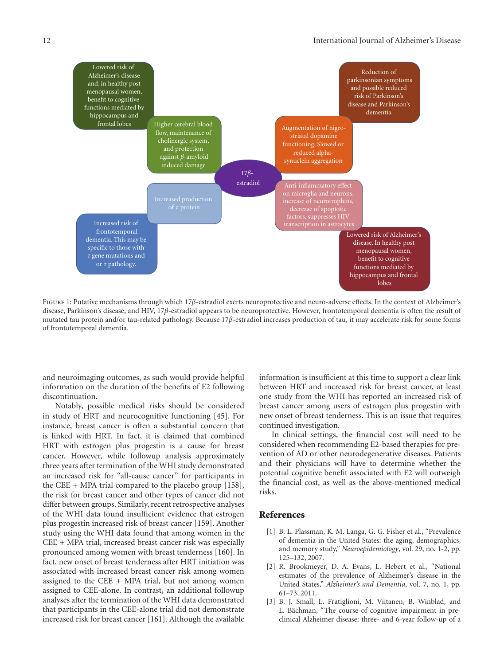

<span id="page-11-4"></span>Figure 1: Putative mechanisms through which 17*β*-estradiol exerts neuroprotective and neuro-adverse effects. In the context of Alzheimer's disease, Parkinson's disease, and HIV, 17*β*-estradiol appears to be neuroprotective. However, frontotemporal dementia is often the result of mutated tau protein and/or tau-related pathology. Because 17*β*-estradiol increases production of tau, it may accelerate risk for some forms of frontotemporal dementia.

and neuroimaging outcomes, as such would provide helpful information on the duration of the benefits of E2 following discontinuation.

Notably, possible medical risks should be considered in study of HRT and neurocognitive functioning [\[45\]](#page-13-6). For instance, breast cancer is often a substantial concern that is linked with HRT. In fact, it is claimed that combined HRT with estrogen plus progestin is a cause for breast cancer. However, while followup analysis approximately three years after termination of the WHI study demonstrated an increased risk for "all-cause cancer" for participants in the CEE + MPA trial compared to the placebo group  $[158]$ , the risk for breast cancer and other types of cancer did not differ between groups. Similarly, recent retrospective analyses of the WHI data found insufficient evidence that estrogen plus progestin increased risk of breast cancer [\[159](#page-16-29)]. Another study using the WHI data found that among women in the CEE + MPA trial, increased breast cancer risk was especially pronounced among women with breast tenderness [\[160\]](#page-16-30). In fact, new onset of breast tenderness after HRT initiation was associated with increased breast cancer risk among women assigned to the CEE  $+$  MPA trial, but not among women assigned to CEE-alone. In contrast, an additional followup analyses after the termination of the WHI data demonstrated that participants in the CEE-alone trial did not demonstrate increased risk for breast cancer [\[161](#page-17-0)]. Although the available information is insufficient at this time to support a clear link between HRT and increased risk for breast cancer, at least one study from the WHI has reported an increased risk of breast cancer among users of estrogen plus progestin with new onset of breast tenderness. This is an issue that requires continued investigation.

In clinical settings, the financial cost will need to be considered when recommending E2-based therapies for prevention of AD or other neurodegenerative diseases. Patients and their physicians will have to determine whether the potential cognitive benefit associated with E2 will outweigh the financial cost, as well as the above-mentioned medical risks.

#### <span id="page-11-0"></span>**References**

- <span id="page-11-1"></span>[1] B. L. Plassman, K. M. Langa, G. G. Fisher et al., "Prevalence of dementia in the United States: the aging, demographics, and memory study," *Neuroepidemiology*, vol. 29, no. 1-2, pp. 125–132, 2007.
- <span id="page-11-2"></span>[2] R. Brookmeyer, D. A. Evans, L. Hebert et al., "National estimates of the prevalence of Alzheimer's disease in the United States," *Alzheimer's and Dementia*, vol. 7, no. 1, pp. 61–73, 2011.
- <span id="page-11-3"></span>[3] B. J. Small, L. Fratiglioni, M. Viitanen, B. Winblad, and L. Bächman, "The course of cognitive impairment in preclinical Alzheimer disease: three- and 6-year follow-up of a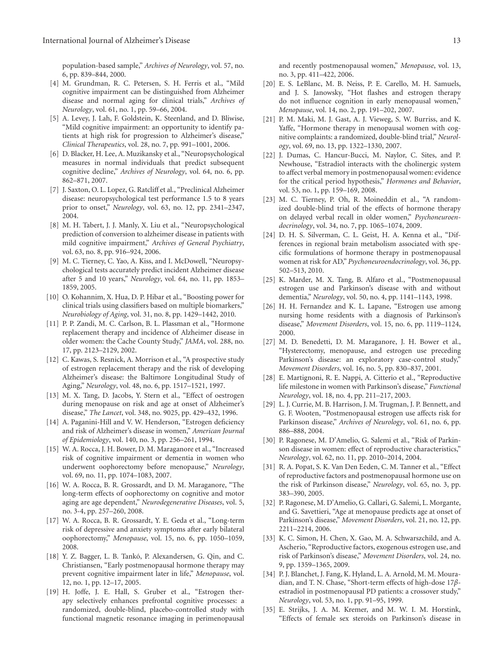population-based sample," *Archives of Neurology*, vol. 57, no. 6, pp. 839–844, 2000.

- <span id="page-12-3"></span>[4] M. Grundman, R. C. Petersen, S. H. Ferris et al., "Mild cognitive impairment can be distinguished from Alzheimer disease and normal aging for clinical trials," *Archives of Neurology*, vol. 61, no. 1, pp. 59–66, 2004.
- <span id="page-12-0"></span>[5] A. Levey, J. Lah, F. Goldstein, K. Steenland, and D. Bliwise, "Mild cognitive impairment: an opportunity to identify patients at high risk for progression to Alzheimer's disease," *Clinical Therapeutics*, vol. 28, no. 7, pp. 991–1001, 2006.
- <span id="page-12-1"></span>[6] D. Blacker, H. Lee, A. Muzikansky et al., "Neuropsychological measures in normal individuals that predict subsequent cognitive decline," *Archives of Neurology*, vol. 64, no. 6, pp. 862–871, 2007.
- [7] J. Saxton, O. L. Lopez, G. Ratcliff et al., "Preclinical Alzheimer disease: neuropsychological test performance 1.5 to 8 years prior to onset," *Neurology*, vol. 63, no. 12, pp. 2341–2347, 2004.
- [8] M. H. Tabert, J. J. Manly, X. Liu et al., "Neuropsychological prediction of conversion to alzheimer disease in patients with mild cognitive impairment," *Archives of General Psychiatry*, vol. 63, no. 8, pp. 916–924, 2006.
- <span id="page-12-2"></span>[9] M. C. Tierney, C. Yao, A. Kiss, and I. McDowell, "Neuropsychological tests accurately predict incident Alzheimer disease after 5 and 10 years," *Neurology*, vol. 64, no. 11, pp. 1853– 1859, 2005.
- <span id="page-12-4"></span>[10] O. Kohannim, X. Hua, D. P. Hibar et al., "Boosting power for clinical trials using classifiers based on multiple biomarkers," *Neurobiology of Aging*, vol. 31, no. 8, pp. 1429–1442, 2010.
- <span id="page-12-5"></span>[11] P. P. Zandi, M. C. Carlson, B. L. Plassman et al., "Hormone replacement therapy and incidence of Alzheimer disease in older women: the Cache County Study," *JAMA*, vol. 288, no. 17, pp. 2123–2129, 2002.
- <span id="page-12-6"></span>[12] C. Kawas, S. Resnick, A. Morrison et al., "A prospective study of estrogen replacement therapy and the risk of developing Alzheimer's disease: the Baltimore Longitudinal Study of Aging," *Neurology*, vol. 48, no. 6, pp. 1517–1521, 1997.
- <span id="page-12-7"></span>[13] M. X. Tang, D. Jacobs, Y. Stern et al., "Effect of oestrogen during menopause on risk and age at onset of Alzheimer's disease," *The Lancet*, vol. 348, no. 9025, pp. 429–432, 1996.
- <span id="page-12-8"></span>[14] A. Paganini-Hill and V. W. Henderson, "Estrogen deficiency and risk of Alzheimer's disease in women," *American Journal of Epidemiology*, vol. 140, no. 3, pp. 256–261, 1994.
- <span id="page-12-9"></span>[15] W. A. Rocca, J. H. Bower, D. M. Maraganore et al., "Increased risk of cognitive impairment or dementia in women who underwent oophorectomy before menopause," *Neurology*, vol. 69, no. 11, pp. 1074–1083, 2007.
- <span id="page-12-10"></span>[16] W. A. Rocca, B. R. Grossardt, and D. M. Maraganore, "The long-term effects of oophorectomy on cognitive and motor aging are age dependent," *Neurodegenerative Diseases*, vol. 5, no. 3-4, pp. 257–260, 2008.
- <span id="page-12-11"></span>[17] W. A. Rocca, B. R. Grossardt, Y. E. Geda et al., "Long-term risk of depressive and anxiety symptoms after early bilateral oophorectomy," *Menopause*, vol. 15, no. 6, pp. 1050–1059, 2008.
- <span id="page-12-14"></span>[18] Y. Z. Bagger, L. B. Tankó, P. Alexandersen, G. Qin, and C. Christiansen, "Early postmenopausal hormone therapy may prevent cognitive impairment later in life," *Menopause*, vol. 12, no. 1, pp. 12–17, 2005.
- <span id="page-12-17"></span>[19] H. Joffe, J. E. Hall, S. Gruber et al., "Estrogen therapy selectively enhances prefrontal cognitive processes: a randomized, double-blind, placebo-controlled study with functional magnetic resonance imaging in perimenopausal

and recently postmenopausal women," *Menopause*, vol. 13, no. 3, pp. 411–422, 2006.

- <span id="page-12-16"></span>[20] E. S. LeBlanc, M. B. Neiss, P. E. Carello, M. H. Samuels, and J. S. Janowsky, "Hot flashes and estrogen therapy do not influence cognition in early menopausal women," *Menopause*, vol. 14, no. 2, pp. 191–202, 2007.
- <span id="page-12-12"></span>[21] P. M. Maki, M. J. Gast, A. J. Vieweg, S. W. Burriss, and K. Yaffe, "Hormone therapy in menopausal women with cognitive complaints: a randomized, double-blind trial," *Neurology*, vol. 69, no. 13, pp. 1322–1330, 2007.
- <span id="page-12-15"></span>[22] J. Dumas, C. Hancur-Bucci, M. Naylor, C. Sites, and P. Newhouse, "Estradiol interacts with the cholinergic system to affect verbal memory in postmenopausal women: evidence for the critical period hypothesis," *Hormones and Behavior*, vol. 53, no. 1, pp. 159–169, 2008.
- <span id="page-12-18"></span>[23] M. C. Tierney, P. Oh, R. Moineddin et al., "A randomized double-blind trial of the effects of hormone therapy on delayed verbal recall in older women," *Psychoneuroendocrinology*, vol. 34, no. 7, pp. 1065–1074, 2009.
- <span id="page-12-13"></span>[24] D. H. S. Silverman, C. L. Geist, H. A. Kenna et al., "Differences in regional brain metabolism associated with specific formulations of hormone therapy in postmenopausal women at risk for AD," *Psychoneuroendocrinology*, vol. 36, pp. 502–513, 2010.
- <span id="page-12-28"></span>[25] K. Marder, M. X. Tang, B. Alfaro et al., "Postmenopausal estrogen use and Parkinson's disease with and without dementia," *Neurology*, vol. 50, no. 4, pp. 1141–1143, 1998.
- <span id="page-12-29"></span>[26] H. H. Fernandez and K. L. Lapane, "Estrogen use among nursing home residents with a diagnosis of Parkinson's disease," *Movement Disorders*, vol. 15, no. 6, pp. 1119–1124, 2000.
- <span id="page-12-22"></span>[27] M. D. Benedetti, D. M. Maraganore, J. H. Bower et al., "Hysterectomy, menopause, and estrogen use preceding Parkinson's disease: an exploratory case-control study," *Movement Disorders*, vol. 16, no. 5, pp. 830–837, 2001.
- <span id="page-12-21"></span>[28] E. Martignoni, R. E. Nappi, A. Citterio et al., "Reproductive life milestone in women with Parkinson's disease," *Functional Neurology*, vol. 18, no. 4, pp. 211–217, 2003.
- <span id="page-12-23"></span>[29] L. J. Currie, M. B. Harrison, J. M. Trugman, J. P. Bennett, and G. F. Wooten, "Postmenopausal estrogen use affects risk for Parkinson disease," *Archives of Neurology*, vol. 61, no. 6, pp. 886–888, 2004.
- <span id="page-12-24"></span>[30] P. Ragonese, M. D'Amelio, G. Salemi et al., "Risk of Parkinson disease in women: effect of reproductive characteristics," *Neurology*, vol. 62, no. 11, pp. 2010–2014, 2004.
- <span id="page-12-26"></span>[31] R. A. Popat, S. K. Van Den Eeden, C. M. Tanner et al., "Effect of reproductive factors and postmenopausal hormone use on the risk of Parkinson disease," *Neurology*, vol. 65, no. 3, pp. 383–390, 2005.
- <span id="page-12-25"></span>[32] P. Ragonese, M. D'Amelio, G. Callari, G. Salemi, L. Morgante, and G. Savettieri, "Age at menopause predicts age at onset of Parkinson's disease," *Movement Disorders*, vol. 21, no. 12, pp. 2211–2214, 2006.
- <span id="page-12-27"></span>[33] K. C. Simon, H. Chen, X. Gao, M. A. Schwarszchild, and A. Ascherio, "Reproductive factors, exogenous estrogen use, and risk of Parkinson's disease," *Movement Disorders*, vol. 24, no. 9, pp. 1359–1365, 2009.
- <span id="page-12-20"></span>[34] P. J. Blanchet, J. Fang, K. Hyland, L. A. Arnold, M. M. Mouradian, and T. N. Chase, "Short-term effects of high-dose 17*β*estradiol in postmenopausal PD patients: a crossover study," *Neurology*, vol. 53, no. 1, pp. 91–95, 1999.
- <span id="page-12-19"></span>[35] E. Strijks, J. A. M. Kremer, and M. W. I. M. Horstink, "Effects of female sex steroids on Parkinson's disease in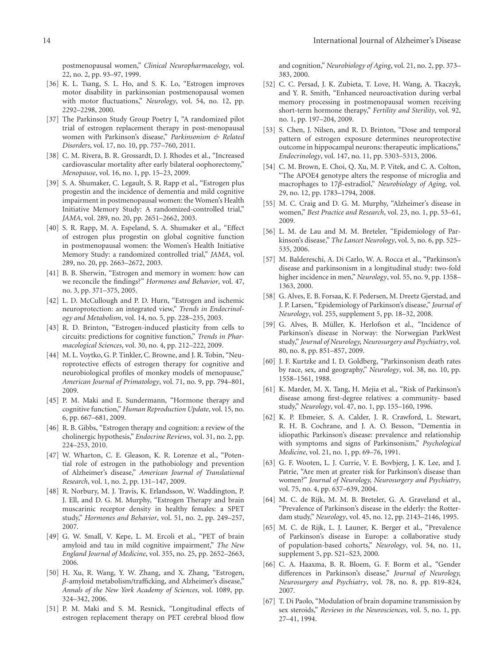postmenopausal women," *Clinical Neuropharmacology*, vol. 22, no. 2, pp. 93–97, 1999.

- <span id="page-13-20"></span>[36] K. L. Tsang, S. L. Ho, and S. K. Lo, "Estrogen improves motor disability in parkinsonian postmenopausal women with motor fluctuations," *Neurology*, vol. 54, no. 12, pp. 2292–2298, 2000.
- <span id="page-13-21"></span>[37] The Parkinson Study Group Poetry I, "A randomized pilot trial of estrogen replacement therapy in post-menopausal women with Parkinson's disease," *Parkinsonism & Related Disorders*, vol. 17, no. 10, pp. 757–760, 2011.
- <span id="page-13-0"></span>[38] C. M. Rivera, B. R. Grossardt, D. J. Rhodes et al., "Increased cardiovascular mortality after early bilateral oophorectomy," *Menopause*, vol. 16, no. 1, pp. 15–23, 2009.
- <span id="page-13-1"></span>[39] S. A. Shumaker, C. Legault, S. R. Rapp et al., "Estrogen plus progestin and the incidence of dementia and mild cognitive impairment in postmenopausal women: the Women's Health Initiative Memory Study: A randomized-controlled trial," *JAMA*, vol. 289, no. 20, pp. 2651–2662, 2003.
- <span id="page-13-2"></span>[40] S. R. Rapp, M. A. Espeland, S. A. Shumaker et al., "Effect of estrogen plus progestin on global cognitive function in postmenopausal women: the Women's Health Initiative Memory Study: a randomized controlled trial," *JAMA*, vol. 289, no. 20, pp. 2663–2672, 2003.
- <span id="page-13-3"></span>[41] B. B. Sherwin, "Estrogen and memory in women: how can we reconcile the findings?" *Hormones and Behavior*, vol. 47, no. 3, pp. 371–375, 2005.
- <span id="page-13-4"></span>[42] L. D. McCullough and P. D. Hurn, "Estrogen and ischemic neuroprotection: an integrated view," *Trends in Endocrinology and Metabolism*, vol. 14, no. 5, pp. 228–235, 2003.
- [43] R. D. Brinton, "Estrogen-induced plasticity from cells to circuits: predictions for cognitive function," *Trends in Pharmacological Sciences*, vol. 30, no. 4, pp. 212–222, 2009.
- <span id="page-13-5"></span>[44] M. L. Voytko, G. P. Tinkler, C. Browne, and J. R. Tobin, "Neuroprotective effects of estrogen therapy for cognitive and neurobiological profiles of monkey models of menopause," *American Journal of Primatology*, vol. 71, no. 9, pp. 794–801, 2009.
- <span id="page-13-6"></span>[45] P. M. Maki and E. Sundermann, "Hormone therapy and cognitive function," *Human Reproduction Update*, vol. 15, no. 6, pp. 667–681, 2009.
- <span id="page-13-7"></span>[46] R. B. Gibbs, "Estrogen therapy and cognition: a review of the cholinergic hypothesis," *Endocrine Reviews*, vol. 31, no. 2, pp. 224–253, 2010.
- [47] W. Wharton, C. E. Gleason, K. R. Lorenze et al., "Potential role of estrogen in the pathobiology and prevention of Alzheimer's disease," *American Journal of Translational Research*, vol. 1, no. 2, pp. 131–147, 2009.
- <span id="page-13-8"></span>[48] R. Norbury, M. J. Travis, K. Erlandsson, W. Waddington, P. J. Ell, and D. G. M. Murphy, "Estrogen Therapy and brain muscarinic receptor density in healthy females: a SPET study," *Hormones and Behavior*, vol. 51, no. 2, pp. 249–257, 2007.
- <span id="page-13-9"></span>[49] G. W. Small, V. Kepe, L. M. Ercoli et al., "PET of brain amyloid and tau in mild cognitive impairment," *The New England Journal of Medicine*, vol. 355, no. 25, pp. 2652–2663, 2006.
- <span id="page-13-10"></span>[50] H. Xu, R. Wang, Y. W. Zhang, and X. Zhang, "Estrogen, *β*-amyloid metabolism/trafficking, and Alzheimer's disease," *Annals of the New York Academy of Sciences*, vol. 1089, pp. 324–342, 2006.
- <span id="page-13-11"></span>[51] P. M. Maki and S. M. Resnick, "Longitudinal effects of estrogen replacement therapy on PET cerebral blood flow

and cognition," *Neurobiology of Aging*, vol. 21, no. 2, pp. 373– 383, 2000.

- <span id="page-13-12"></span>[52] C. C. Persad, J. K. Zubieta, T. Love, H. Wang, A. Tkaczyk, and Y. R. Smith, "Enhanced neuroactivation during verbal memory processing in postmenopausal women receiving short-term hormone therapy," *Fertility and Sterility*, vol. 92, no. 1, pp. 197–204, 2009.
- <span id="page-13-13"></span>[53] S. Chen, J. Nilsen, and R. D. Brinton, "Dose and temporal pattern of estrogen exposure determines neuroprotective outcome in hippocampal neurons: therapeutic implications," *Endocrinology*, vol. 147, no. 11, pp. 5303–5313, 2006.
- <span id="page-13-14"></span>[54] C. M. Brown, E. Choi, Q. Xu, M. P. Vitek, and C. A. Colton, "The APOE4 genotype alters the response of microglia and macrophages to 17*β*-estradiol," *Neurobiology of Aging*, vol. 29, no. 12, pp. 1783–1794, 2008.
- <span id="page-13-15"></span>[55] M. C. Craig and D. G. M. Murphy, "Alzheimer's disease in women," *Best Practice and Research*, vol. 23, no. 1, pp. 53–61, 2009.
- <span id="page-13-16"></span>[56] L. M. de Lau and M. M. Breteler, "Epidemiology of Parkinson's disease," *The Lancet Neurology*, vol. 5, no. 6, pp. 525– 535, 2006.
- <span id="page-13-17"></span>[57] M. Baldereschi, A. Di Carlo, W. A. Rocca et al., "Parkinson's disease and parkinsonism in a longitudinal study: two-fold higher incidence in men," *Neurology*, vol. 55, no. 9, pp. 1358– 1363, 2000.
- [58] G. Alves, E. B. Forsaa, K. F. Pedersen, M. Dreetz Gjerstad, and J. P. Larsen, "Epidemiology of Parkinson's disease," *Journal of Neurology*, vol. 255, supplement 5, pp. 18–32, 2008.
- [59] G. Alves, B. Müller, K. Herlofson et al., "Incidence of Parkinson's disease in Norway: the Norwegian ParkWest study," *Journal of Neurology, Neurosurgery and Psychiatry*, vol. 80, no. 8, pp. 851–857, 2009.
- [60] J. F. Kurtzke and I. D. Goldberg, "Parkinsonism death rates by race, sex, and geography," *Neurology*, vol. 38, no. 10, pp. 1558–1561, 1988.
- [61] K. Marder, M. X. Tang, H. Mejia et al., "Risk of Parkinson's disease among first-degree relatives: a community- based study," *Neurology*, vol. 47, no. 1, pp. 155–160, 1996.
- [62] K. P. Ebmeier, S. A. Calder, J. R. Crawford, L. Stewart, R. H. B. Cochrane, and J. A. O. Besson, "Dementia in idiopathic Parkinson's disease: prevalence and relationship with symptoms and signs of Parkinsonism," *Psychological Medicine*, vol. 21, no. 1, pp. 69–76, 1991.
- [63] G. F. Wooten, L. J. Currie, V. E. Bovbjerg, J. K. Lee, and J. Patrie, "Are men at greater risk for Parkinson's disease than women?" *Journal of Neurology, Neurosurgery and Psychiatry*, vol. 75, no. 4, pp. 637–639, 2004.
- [64] M. C. de Rijk, M. M. B. Breteler, G. A. Graveland et al., "Prevalence of Parkinson's disease in the elderly: the Rotterdam study," *Neurology*, vol. 45, no. 12, pp. 2143–2146, 1995.
- [65] M. C. de Rijk, L. J. Launer, K. Berger et al., "Prevalence of Parkinson's disease in Europe: a collaborative study of population-based cohorts," *Neurology*, vol. 54, no. 11, supplement 5, pp. S21–S23, 2000.
- <span id="page-13-18"></span>[66] C. A. Haaxma, B. R. Bloem, G. F. Borm et al., "Gender differences in Parkinson's disease," *Journal of Neurology, Neurosurgery and Psychiatry*, vol. 78, no. 8, pp. 819–824, 2007.
- <span id="page-13-19"></span>[67] T. Di Paolo, "Modulation of brain dopamine transmission by sex steroids," *Reviews in the Neurosciences*, vol. 5, no. 1, pp. 27–41, 1994.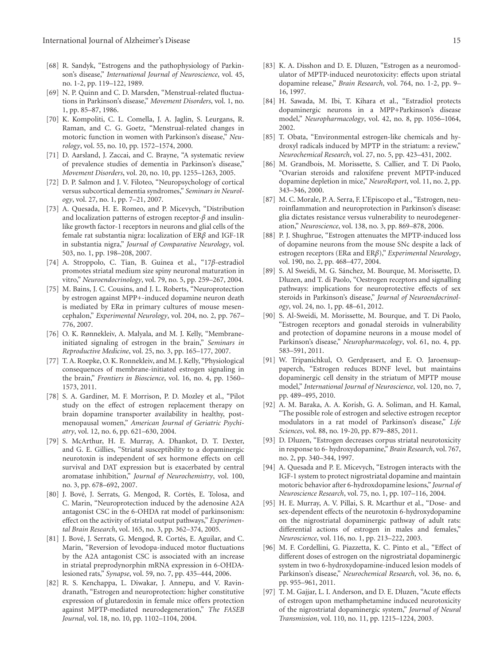- <span id="page-14-0"></span>[68] R. Sandyk, "Estrogens and the pathophysiology of Parkinson's disease," *International Journal of Neuroscience*, vol. 45, no. 1-2, pp. 119–122, 1989.
- <span id="page-14-1"></span>[69] N. P. Quinn and C. D. Marsden, "Menstrual-related fluctuations in Parkinson's disease," *Movement Disorders*, vol. 1, no. 1, pp. 85–87, 1986.
- <span id="page-14-2"></span>[70] K. Kompoliti, C. L. Comella, J. A. Jaglin, S. Leurgans, R. Raman, and C. G. Goetz, "Menstrual-related changes in motoric function in women with Parkinson's disease," *Neurology*, vol. 55, no. 10, pp. 1572–1574, 2000.
- <span id="page-14-3"></span>[71] D. Aarsland, J. Zaccai, and C. Brayne, "A systematic review of prevalence studies of dementia in Parkinson's disease," *Movement Disorders*, vol. 20, no. 10, pp. 1255–1263, 2005.
- <span id="page-14-4"></span>[72] D. P. Salmon and J. V. Filoteo, "Neuropsychology of cortical versus subcortical dementia syndromes," *Seminars in Neurology*, vol. 27, no. 1, pp. 7–21, 2007.
- <span id="page-14-5"></span>[73] A. Quesada, H. E. Romeo, and P. Micevych, "Distribution and localization patterns of estrogen receptor-*β* and insulinlike growth factor-1 receptors in neurons and glial cells of the female rat substantia nigra: localization of ER*β* and IGF-1R in substantia nigra," *Journal of Comparative Neurology*, vol. 503, no. 1, pp. 198–208, 2007.
- <span id="page-14-6"></span>[74] A. Stroppolo, C. Tian, B. Guinea et al., "17*β*-estradiol promotes striatal medium size spiny neuronal maturation in vitro," *Neuroendocrinology*, vol. 79, no. 5, pp. 259–267, 2004.
- <span id="page-14-7"></span>[75] M. Bains, J. C. Cousins, and J. L. Roberts, "Neuroprotection by estrogen against MPP+-induced dopamine neuron death is mediated by ER*α* in primary cultures of mouse mesencephalon," *Experimental Neurology*, vol. 204, no. 2, pp. 767– 776, 2007.
- <span id="page-14-8"></span>[76] O. K. Rønnekleiv, A. Malyala, and M. J. Kelly, "Membraneinitiated signaling of estrogen in the brain," *Seminars in Reproductive Medicine*, vol. 25, no. 3, pp. 165–177, 2007.
- <span id="page-14-9"></span>[77] T. A. Roepke, O. K. Ronnekleiv, and M. J. Kelly, "Physiological consequences of membrane-initiated estrogen signaling in the brain," *Frontiers in Bioscience*, vol. 16, no. 4, pp. 1560– 1573, 2011.
- <span id="page-14-10"></span>[78] S. A. Gardiner, M. F. Morrison, P. D. Mozley et al., "Pilot study on the effect of estrogen replacement therapy on brain dopamine transporter availability in healthy, postmenopausal women," *American Journal of Geriatric Psychiatry*, vol. 12, no. 6, pp. 621–630, 2004.
- <span id="page-14-11"></span>[79] S. McArthur, H. E. Murray, A. Dhankot, D. T. Dexter, and G. E. Gillies, "Striatal susceptibility to a dopaminergic neurotoxin is independent of sex hormone effects on cell survival and DAT expression but is exacerbated by central aromatase inhibition," *Journal of Neurochemistry*, vol. 100, no. 3, pp. 678–692, 2007.
- <span id="page-14-12"></span>[80] J. Bové, J. Serrats, G. Mengod, R. Cortés, E. Tolosa, and C. Marin, "Neuroprotection induced by the adenosine A2A antagonist CSC in the 6-OHDA rat model of parkinsonism: effect on the activity of striatal output pathways," *Experimental Brain Research*, vol. 165, no. 3, pp. 362–374, 2005.
- <span id="page-14-13"></span>[81] J. Bové, J. Serrats, G. Mengod, R. Cortés, E. Aguilar, and C. Marin, "Reversion of levodopa-induced motor fluctuations by the A2A antagonist CSC is associated with an increase in striatal preprodynorphin mRNA expression in 6-OHDAlesioned rats," *Synapse*, vol. 59, no. 7, pp. 435–444, 2006.
- <span id="page-14-14"></span>[82] R. S. Kenchappa, L. Diwakar, J. Annepu, and V. Ravindranath, "Estrogen and neuroprotection: higher constitutive expression of glutaredoxin in female mice offers protection against MPTP-mediated neurodegeneration," *The FASEB Journal*, vol. 18, no. 10, pp. 1102–1104, 2004.
- [83] K. A. Disshon and D. E. Dluzen, "Estrogen as a neuromodulator of MPTP-induced neurotoxicity: effects upon striatal dopamine release," *Brain Research*, vol. 764, no. 1-2, pp. 9– 16, 1997.
- [84] H. Sawada, M. Ibi, T. Kihara et al., "Estradiol protects dopaminergic neurons in a MPP+Parkinson's disease model," *Neuropharmacology*, vol. 42, no. 8, pp. 1056–1064, 2002.
- [85] T. Obata, "Environmental estrogen-like chemicals and hydroxyl radicals induced by MPTP in the striatum: a review," *Neurochemical Research*, vol. 27, no. 5, pp. 423–431, 2002.
- [86] M. Grandbois, M. Morissette, S. Callier, and T. Di Paolo, "Ovarian steroids and raloxifene prevent MPTP-induced dopamine depletion in mice," *NeuroReport*, vol. 11, no. 2, pp. 343–346, 2000.
- [87] M. C. Morale, P. A. Serra, F. L'Episcopo et al., "Estrogen, neuroinflammation and neuroprotection in Parkinson's disease: glia dictates resistance versus vulnerability to neurodegeneration," *Neuroscience*, vol. 138, no. 3, pp. 869–878, 2006.
- <span id="page-14-19"></span>[88] P. J. Shughrue, "Estrogen attenuates the MPTP-induced loss of dopamine neurons from the mouse SNc despite a lack of estrogen receptors (ER*α* and ER*β*)," *Experimental Neurology*, vol. 190, no. 2, pp. 468–477, 2004.
- [89] S. Al Sweidi, M. G. Sanchez, M. Bourque, M. Morissette, D. ´ Dluzen, and T. di Paolo, "Oestrogen receptors and signalling pathways: implications for neuroprotective effects of sex steroids in Parkinson's disease," *Journal of Neuroendocrinology*, vol. 24, no. 1, pp. 48–61, 2012.
- [90] S. Al-Sweidi, M. Morissette, M. Bourque, and T. Di Paolo, "Estrogen receptors and gonadal steroids in vulnerability and protection of dopamine neurons in a mouse model of Parkinson's disease," *Neuropharmacology*, vol. 61, no. 4, pp. 583–591, 2011.
- <span id="page-14-15"></span>[91] W. Tripanichkul, O. Gerdprasert, and E. O. Jaroensuppaperch, "Estrogen reduces BDNF level, but maintains dopaminergic cell density in the striatum of MPTP mouse model," *International Journal of Neuroscience*, vol. 120, no. 7, pp. 489–495, 2010.
- <span id="page-14-16"></span>[92] A. M. Baraka, A. A. Korish, G. A. Soliman, and H. Kamal, "The possible role of estrogen and selective estrogen receptor modulators in a rat model of Parkinson's disease," *Life Sciences*, vol. 88, no. 19-20, pp. 879–885, 2011.
- [93] D. Dluzen, "Estrogen decreases corpus striatal neurotoxicity in response to 6- hydroxydopamine," *Brain Research*, vol. 767, no. 2, pp. 340–344, 1997.
- [94] A. Quesada and P. E. Micevych, "Estrogen interacts with the IGF-1 system to protect nigrostriatal dopamine and maintain motoric behavior after 6-hydroxdopamine lesions," *Journal of Neuroscience Research*, vol. 75, no. 1, pp. 107–116, 2004.
- [95] H. E. Murray, A. V. Pillai, S. R. Mcarthur et al., "Dose- and sex-dependent effects of the neurotoxin 6-hydroxydopamine on the nigrostriatal dopaminergic pathway of adult rats: differential actions of estrogen in males and females," *Neuroscience*, vol. 116, no. 1, pp. 213–222, 2003.
- <span id="page-14-17"></span>[96] M. F. Cordellini, G. Piazzetta, K. C. Pinto et al., "Effect of different doses of estrogen on the nigrostriatal dopaminergic system in two 6-hydroxydopamine-induced lesion models of Parkinson's disease," *Neurochemical Research*, vol. 36, no. 6, pp. 955–961, 2011.
- <span id="page-14-18"></span>[97] T. M. Gajjar, L. I. Anderson, and D. E. Dluzen, "Acute effects of estrogen upon methamphetamine induced neurotoxicity of the nigrostriatal dopaminergic system," *Journal of Neural Transmission*, vol. 110, no. 11, pp. 1215–1224, 2003.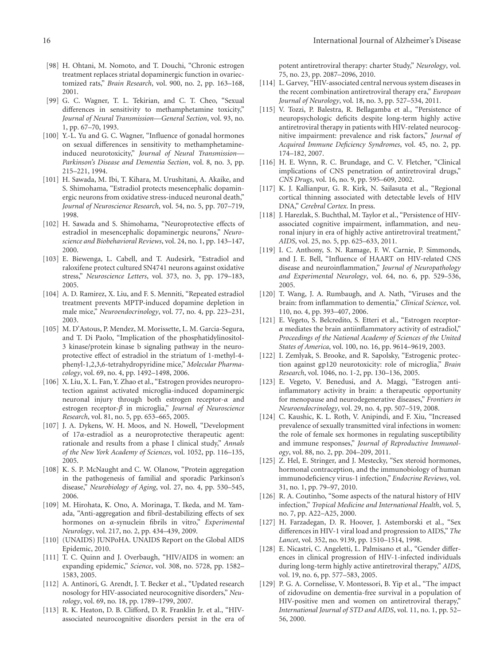- [98] H. Ohtani, M. Nomoto, and T. Douchi, "Chronic estrogen treatment replaces striatal dopaminergic function in ovariectomized rats," *Brain Research*, vol. 900, no. 2, pp. 163–168, 2001.
- [99] G. C. Wagner, T. L. Tekirian, and C. T. Cheo, "Sexual differences in sensitivity to methamphetamine toxicity," *Journal of Neural Transmission—General Section*, vol. 93, no. 1, pp. 67–70, 1993.
- <span id="page-15-0"></span>[100] Y.-L. Yu and G. C. Wagner, "Influence of gonadal hormones on sexual differences in sensitivity to methamphetamineinduced neurotoxicity," *Journal of Neural Transmission— Parkinson's Disease and Dementia Section*, vol. 8, no. 3, pp. 215–221, 1994.
- <span id="page-15-1"></span>[101] H. Sawada, M. Ibi, T. Kihara, M. Urushitani, A. Akaike, and S. Shimohama, "Estradiol protects mesencephalic dopaminergic neurons from oxidative stress-induced neuronal death," *Journal of Neuroscience Research*, vol. 54, no. 5, pp. 707–719, 1998.
- [102] H. Sawada and S. Shimohama, "Neuroprotective effects of estradiol in mesencephalic dopaminergic neurons," *Neuroscience and Biobehavioral Reviews*, vol. 24, no. 1, pp. 143–147, 2000.
- <span id="page-15-2"></span>[103] E. Biewenga, L. Cabell, and T. Audesirk, "Estradiol and raloxifene protect cultured SN4741 neurons against oxidative stress," *Neuroscience Letters*, vol. 373, no. 3, pp. 179–183, 2005.
- <span id="page-15-3"></span>[104] A. D. Ramirez, X. Liu, and F. S. Menniti, "Repeated estradiol treatment prevents MPTP-induced dopamine depletion in male mice," *Neuroendocrinology*, vol. 77, no. 4, pp. 223–231, 2003.
- <span id="page-15-4"></span>[105] M. D'Astous, P. Mendez, M. Morissette, L. M. Garcia-Segura, and T. Di Paolo, "Implication of the phosphatidylinositol-3 kinase/protein kinase b signaling pathway in the neuroprotective effect of estradiol in the striatum of 1-methyl-4 phenyl-1,2,3,6-tetrahydropyridine mice," *Molecular Pharmacology*, vol. 69, no. 4, pp. 1492–1498, 2006.
- <span id="page-15-5"></span>[106] X. Liu, X. L. Fan, Y. Zhao et al., "Estrogen provides neuroprotection against activated microglia-induced dopaminergic neuronal injury through both estrogen receptor-*α* and estrogen receptor-*β* in microglia," *Journal of Neuroscience Research*, vol. 81, no. 5, pp. 653–665, 2005.
- <span id="page-15-6"></span>[107] J. A. Dykens, W. H. Moos, and N. Howell, "Development of 17*α*-estradiol as a neuroprotective therapeutic agent: rationale and results from a phase I clinical study," *Annals of the New York Academy of Sciences*, vol. 1052, pp. 116–135, 2005.
- <span id="page-15-7"></span>[108] K. S. P. McNaught and C. W. Olanow, "Protein aggregation in the pathogenesis of familial and sporadic Parkinson's disease," *Neurobiology of Aging*, vol. 27, no. 4, pp. 530–545, 2006.
- <span id="page-15-8"></span>[109] M. Hirohata, K. Ono, A. Morinaga, T. Ikeda, and M. Yamada, "Anti-aggregation and fibril-destabilizing effects of sex hormones on *α*-synuclein fibrils in vitro," *Experimental Neurology*, vol. 217, no. 2, pp. 434–439, 2009.
- <span id="page-15-9"></span>[110] (UNAIDS) JUNPoHA. UNAIDS Report on the Global AIDS Epidemic, 2010.
- <span id="page-15-10"></span>[111] T. C. Quinn and J. Overbaugh, "HIV/AIDS in women: an expanding epidemic," *Science*, vol. 308, no. 5728, pp. 1582– 1583, 2005.
- <span id="page-15-11"></span>[112] A. Antinori, G. Arendt, J. T. Becker et al., "Updated research nosology for HIV-associated neurocognitive disorders," *Neurology*, vol. 69, no. 18, pp. 1789–1799, 2007.
- <span id="page-15-12"></span>[113] R. K. Heaton, D. B. Clifford, D. R. Franklin Jr. et al., "HIVassociated neurocognitive disorders persist in the era of

potent antiretroviral therapy: charter Study," *Neurology*, vol. 75, no. 23, pp. 2087–2096, 2010.

- <span id="page-15-13"></span>[114] L. Garvey, "HIV-associated central nervous system diseases in the recent combination antiretroviral therapy era," *European Journal of Neurology*, vol. 18, no. 3, pp. 527–534, 2011.
- <span id="page-15-14"></span>[115] V. Tozzi, P. Balestra, R. Bellagamba et al., "Persistence of neuropsychologic deficits despite long-term highly active antiretroviral therapy in patients with HIV-related neurocognitive impairment: prevalence and risk factors," *Journal of Acquired Immune Deficiency Syndromes*, vol. 45, no. 2, pp. 174–182, 2007.
- <span id="page-15-15"></span>[116] H. E. Wynn, R. C. Brundage, and C. V. Fletcher, "Clinical implications of CNS penetration of antiretroviral drugs," *CNS Drugs*, vol. 16, no. 9, pp. 595–609, 2002.
- <span id="page-15-16"></span>[117] K. J. Kallianpur, G. R. Kirk, N. Sailasuta et al., "Regional cortical thinning associated with detectable levels of HIV DNA," *Cerebral Cortex*. In press.
- <span id="page-15-17"></span>[118] J. Harezlak, S. Buchthal, M. Taylor et al., "Persistence of HIVassociated cognitive impairment, inflammation, and neuronal injury in era of highly active antiretroviral treatment," *AIDS*, vol. 25, no. 5, pp. 625–633, 2011.
- <span id="page-15-18"></span>[119] I. C. Anthony, S. N. Ramage, F. W. Carnie, P. Simmonds, and J. E. Bell, "Influence of HAART on HIV-related CNS disease and neuroinflammation," *Journal of Neuropathology and Experimental Neurology*, vol. 64, no. 6, pp. 529–536, 2005.
- <span id="page-15-19"></span>[120] T. Wang, J. A. Rumbaugh, and A. Nath, "Viruses and the brain: from inflammation to dementia," *Clinical Science*, vol. 110, no. 4, pp. 393–407, 2006.
- <span id="page-15-20"></span>[121] E. Vegeto, S. Belcredito, S. Etteri et al., "Estrogen receptor*α* mediates the brain antiinflammatory activity of estradiol," *Proceedings of the National Academy of Sciences of the United States of America*, vol. 100, no. 16, pp. 9614–9619, 2003.
- <span id="page-15-28"></span>[122] I. Zemlyak, S. Brooke, and R. Sapolsky, "Estrogenic protection against gp120 neurotoxicity: role of microglia," *Brain Research*, vol. 1046, no. 1-2, pp. 130–136, 2005.
- <span id="page-15-21"></span>[123] E. Vegeto, V. Benedusi, and A. Maggi, "Estrogen antiinflammatory activity in brain: a therapeutic opportunity for menopause and neurodegenerative diseases," *Frontiers in Neuroendocrinology*, vol. 29, no. 4, pp. 507–519, 2008.
- <span id="page-15-22"></span>[124] C. Kaushic, K. L. Roth, V. Anipindi, and F. Xiu, "Increased prevalence of sexually transmitted viral infections in women: the role of female sex hormones in regulating susceptibility and immune responses," *Journal of Reproductive Immunology*, vol. 88, no. 2, pp. 204–209, 2011.
- <span id="page-15-23"></span>[125] Z. Hel, E. Stringer, and J. Mestecky, "Sex steroid hormones, hormonal contraception, and the immunobiology of human immunodeficiency virus-1 infection," *Endocrine Reviews*, vol. 31, no. 1, pp. 79–97, 2010.
- <span id="page-15-24"></span>[126] R. A. Coutinho, "Some aspects of the natural history of HIV infection," *Tropical Medicine and International Health*, vol. 5, no. 7, pp. A22–A25, 2000.
- <span id="page-15-25"></span>[127] H. Farzadegan, D. R. Hoover, J. Astemborski et al., "Sex differences in HIV-1 viral load and progression to AIDS," *The Lancet*, vol. 352, no. 9139, pp. 1510–1514, 1998.
- <span id="page-15-26"></span>[128] E. Nicastri, C. Angeletti, L. Palmisano et al., "Gender differences in clinical progression of HIV-1-infected individuals during long-term highly active antiretroviral therapy," *AIDS*, vol. 19, no. 6, pp. 577–583, 2005.
- <span id="page-15-27"></span>[129] P. G. A. Cornelisse, V. Montessori, B. Yip et al., "The impact of zidovudine on dementia-free survival in a population of HIV-positive men and women on antiretroviral therapy," *International Journal of STD and AIDS*, vol. 11, no. 1, pp. 52– 56, 2000.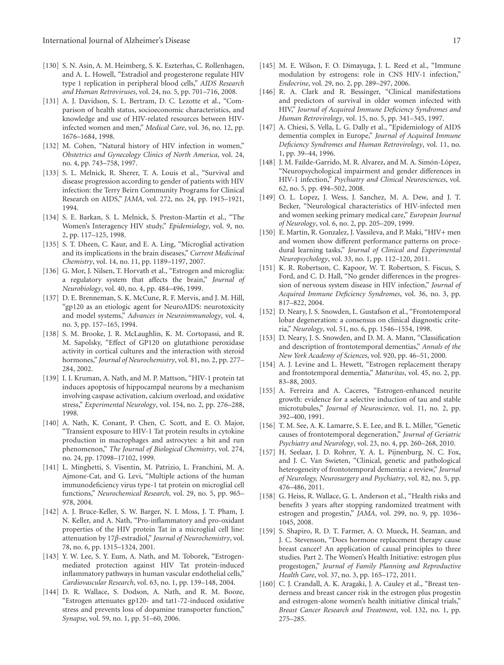- <span id="page-16-0"></span>[130] S. N. Asin, A. M. Heimberg, S. K. Eszterhas, C. Rollenhagen, and A. L. Howell, "Estradiol and progesterone regulate HIV type 1 replication in peripheral blood cells," *AIDS Research and Human Retroviruses*, vol. 24, no. 5, pp. 701–716, 2008.
- <span id="page-16-1"></span>[131] A. J. Davidson, S. L. Bertram, D. C. Lezotte et al., "Comparison of health status, socioeconomic characteristics, and knowledge and use of HIV-related resources between HIVinfected women and men," *Medical Care*, vol. 36, no. 12, pp. 1676–1684, 1998.
- <span id="page-16-2"></span>[132] M. Cohen, "Natural history of HIV infection in women," *Obstetrics and Gynecology Clinics of North America*, vol. 24, no. 4, pp. 743–758, 1997.
- <span id="page-16-3"></span>[133] S. L. Melnick, R. Sherer, T. A. Louis et al., "Survival and disease progression according to gender of patients with HIV infection: the Terry Beirn Community Programs for Clinical Research on AIDS," *JAMA*, vol. 272, no. 24, pp. 1915–1921, 1994.
- <span id="page-16-4"></span>[134] S. E. Barkan, S. L. Melnick, S. Preston-Martin et al., "The Women's Interagency HIV study," *Epidemiology*, vol. 9, no. 2, pp. 117–125, 1998.
- <span id="page-16-5"></span>[135] S. T. Dheen, C. Kaur, and E. A. Ling, "Microglial activation and its implications in the brain diseases," *Current Medicinal Chemistry*, vol. 14, no. 11, pp. 1189–1197, 2007.
- <span id="page-16-6"></span>[136] G. Mor, J. Nilsen, T. Horvath et al., "Estrogen and microglia: a regulatory system that affects the brain," *Journal of Neurobiology*, vol. 40, no. 4, pp. 484–496, 1999.
- <span id="page-16-7"></span>[137] D. E. Brenneman, S. K. McCune, R. F. Mervis, and J. M. Hill, "gp120 as an etiologic agent for NeuroAIDS: neurotoxicity and model systems," *Advances in Neuroimmunology*, vol. 4, no. 3, pp. 157–165, 1994.
- <span id="page-16-8"></span>[138] S. M. Brooke, J. R. McLaughlin, K. M. Cortopassi, and R. M. Sapolsky, "Effect of GP120 on glutathione peroxidase activity in cortical cultures and the interaction with steroid hormones," *Journal of Neurochemistry*, vol. 81, no. 2, pp. 277– 284, 2002.
- <span id="page-16-9"></span>[139] I. I. Kruman, A. Nath, and M. P. Mattson, "HIV-1 protein tat induces apoptosis of hippocampal neurons by a mechanism involving caspase activation, calcium overload, and oxidative stress," *Experimental Neurology*, vol. 154, no. 2, pp. 276–288, 1998.
- <span id="page-16-10"></span>[140] A. Nath, K. Conant, P. Chen, C. Scott, and E. O. Major, "Transient exposure to HIV-1 Tat protein results in cytokine production in macrophages and astrocytes: a hit and run phenomenon," *The Journal of Biological Chemistry*, vol. 274, no. 24, pp. 17098–17102, 1999.
- <span id="page-16-11"></span>[141] L. Minghetti, S. Visentin, M. Patrizio, L. Franchini, M. A. Ajmone-Cat, and G. Levi, "Multiple actions of the human immunodeficiency virus type-1 tat protein on microglial cell functions," *Neurochemical Research*, vol. 29, no. 5, pp. 965– 978, 2004.
- <span id="page-16-12"></span>[142] A. J. Bruce-Keller, S. W. Barger, N. I. Moss, J. T. Pham, J. N. Keller, and A. Nath, "Pro-inflammatory and pro-oxidant properties of the HIV protein Tat in a microglial cell line: attenuation by 17*β*-estradiol," *Journal of Neurochemistry*, vol. 78, no. 6, pp. 1315–1324, 2001.
- <span id="page-16-13"></span>[143] Y. W. Lee, S. Y. Eum, A. Nath, and M. Toborek, "Estrogenmediated protection against HIV Tat protein-induced inflammatory pathways in human vascular endothelial cells," *Cardiovascular Research*, vol. 63, no. 1, pp. 139–148, 2004.
- <span id="page-16-14"></span>[144] D. R. Wallace, S. Dodson, A. Nath, and R. M. Booze, "Estrogen attenuates gp120- and tat1-72-induced oxidative stress and prevents loss of dopamine transporter function," *Synapse*, vol. 59, no. 1, pp. 51–60, 2006.
- <span id="page-16-15"></span>[145] M. E. Wilson, F. O. Dimayuga, J. L. Reed et al., "Immune modulation by estrogens: role in CNS HIV-1 infection," *Endocrine*, vol. 29, no. 2, pp. 289–297, 2006.
- <span id="page-16-16"></span>[146] R. A. Clark and R. Bessinger, "Clinical manifestations and predictors of survival in older women infected with HIV," *Journal of Acquired Immune Deficiency Syndromes and Human Retrovirology*, vol. 15, no. 5, pp. 341–345, 1997.
- <span id="page-16-17"></span>[147] A. Chiesi, S. Vella, L. G. Dally et al., "Epidemiology of AIDS dementia complex in Europe," *Journal of Acquired Immune Deficiency Syndromes and Human Retrovirology*, vol. 11, no. 1, pp. 39–44, 1996.
- <span id="page-16-18"></span>[148] J. M. Faílde-Garrido, M. R. Alvarez, and M. A. Simón-López, "Neuropsychological impairment and gender differences in HIV-1 infection," *Psychiatry and Clinical Neurosciences*, vol. 62, no. 5, pp. 494–502, 2008.
- <span id="page-16-19"></span>[149] O. L. Lopez, J. Wess, J. Sanchez, M. A. Dew, and J. T. Becker, "Neurological characteristics of HIV-infected men and women seeking primary medical care," *European Journal of Neurology*, vol. 6, no. 2, pp. 205–209, 1999.
- <span id="page-16-20"></span>[150] E. Martin, R. Gonzalez, J. Vassileva, and P. Maki, "HIV+ men and women show different performance patterns on procedural learning tasks," *Journal of Clinical and Experimental Neuropsychology*, vol. 33, no. 1, pp. 112–120, 2011.
- <span id="page-16-21"></span>[151] K. R. Robertson, C. Kapoor, W. T. Robertson, S. Fiscus, S. Ford, and C. D. Hall, "No gender differences in the progression of nervous system disease in HIV infection," *Journal of Acquired Immune Deficiency Syndromes*, vol. 36, no. 3, pp. 817–822, 2004.
- <span id="page-16-22"></span>[152] D. Neary, J. S. Snowden, L. Gustafson et al., "Frontotemporal lobar degeneration: a consensus on clinical diagnostic criteria," *Neurology*, vol. 51, no. 6, pp. 1546–1554, 1998.
- <span id="page-16-23"></span>[153] D. Neary, J. S. Snowden, and D. M. A. Mann, "Classification and description of frontotemporal dementias," *Annals of the New York Academy of Sciences*, vol. 920, pp. 46–51, 2000.
- <span id="page-16-24"></span>[154] A. J. Levine and L. Hewett, "Estrogen replacement therapy and frontotemporal dementia," *Maturitas*, vol. 45, no. 2, pp. 83–88, 2003.
- <span id="page-16-25"></span>[155] A. Ferreira and A. Caceres, "Estrogen-enhanced neurite growth: evidence for a selective induction of tau and stable microtubules," *Journal of Neuroscience*, vol. 11, no. 2, pp. 392–400, 1991.
- <span id="page-16-26"></span>[156] T. M. See, A. K. Lamarre, S. E. Lee, and B. L. Miller, "Genetic causes of frontotemporal degeneration," *Journal of Geriatric Psychiatry and Neurology*, vol. 23, no. 4, pp. 260–268, 2010.
- <span id="page-16-27"></span>[157] H. Seelaar, J. D. Rohrer, Y. A. L. Pijnenburg, N. C. Fox, and J. C. Van Swieten, "Clinical, genetic and pathological heterogeneity of frontotemporal dementia: a review," *Journal of Neurology, Neurosurgery and Psychiatry*, vol. 82, no. 5, pp. 476–486, 2011.
- <span id="page-16-28"></span>[158] G. Heiss, R. Wallace, G. L. Anderson et al., "Health risks and benefits 3 years after stopping randomized treatment with estrogen and progestin," *JAMA*, vol. 299, no. 9, pp. 1036– 1045, 2008.
- <span id="page-16-29"></span>[159] S. Shapiro, R. D. T. Farmer, A. O. Mueck, H. Seaman, and J. C. Stevenson, "Does hormone replacement therapy cause breast cancer? An application of causal principles to three studies. Part 2. The Women's Health Initiative: estrogen plus progestogen," *Journal of Family Planning and Reproductive Health Care*, vol. 37, no. 3, pp. 165–172, 2011.
- <span id="page-16-30"></span>[160] C. J. Crandall, A. K. Aragaki, J. A. Cauley et al., "Breast tenderness and breast cancer risk in the estrogen plus progestin and estrogen-alone women's health initiative clinical trials," *Breast Cancer Research and Treatment*, vol. 132, no. 1, pp. 275–285.